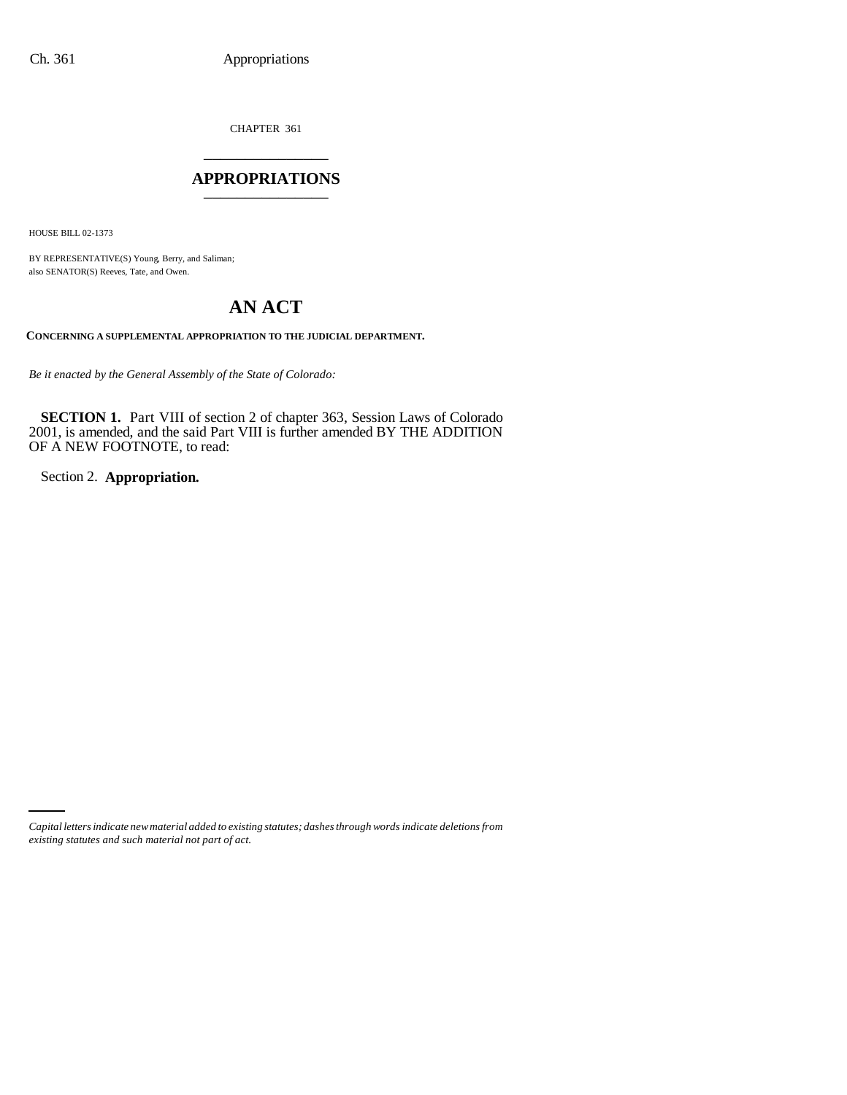CHAPTER 361 \_\_\_\_\_\_\_\_\_\_\_\_\_\_\_

## **APPROPRIATIONS** \_\_\_\_\_\_\_\_\_\_\_\_\_\_\_

HOUSE BILL 02-1373

BY REPRESENTATIVE(S) Young, Berry, and Saliman; also SENATOR(S) Reeves, Tate, and Owen.

# **AN ACT**

**CONCERNING A SUPPLEMENTAL APPROPRIATION TO THE JUDICIAL DEPARTMENT.**

*Be it enacted by the General Assembly of the State of Colorado:*

**SECTION 1.** Part VIII of section 2 of chapter 363, Session Laws of Colorado 2001, is amended, and the said Part VIII is further amended BY THE ADDITION OF A NEW FOOTNOTE, to read:

Section 2. **Appropriation.**

*Capital letters indicate new material added to existing statutes; dashes through words indicate deletions from existing statutes and such material not part of act.*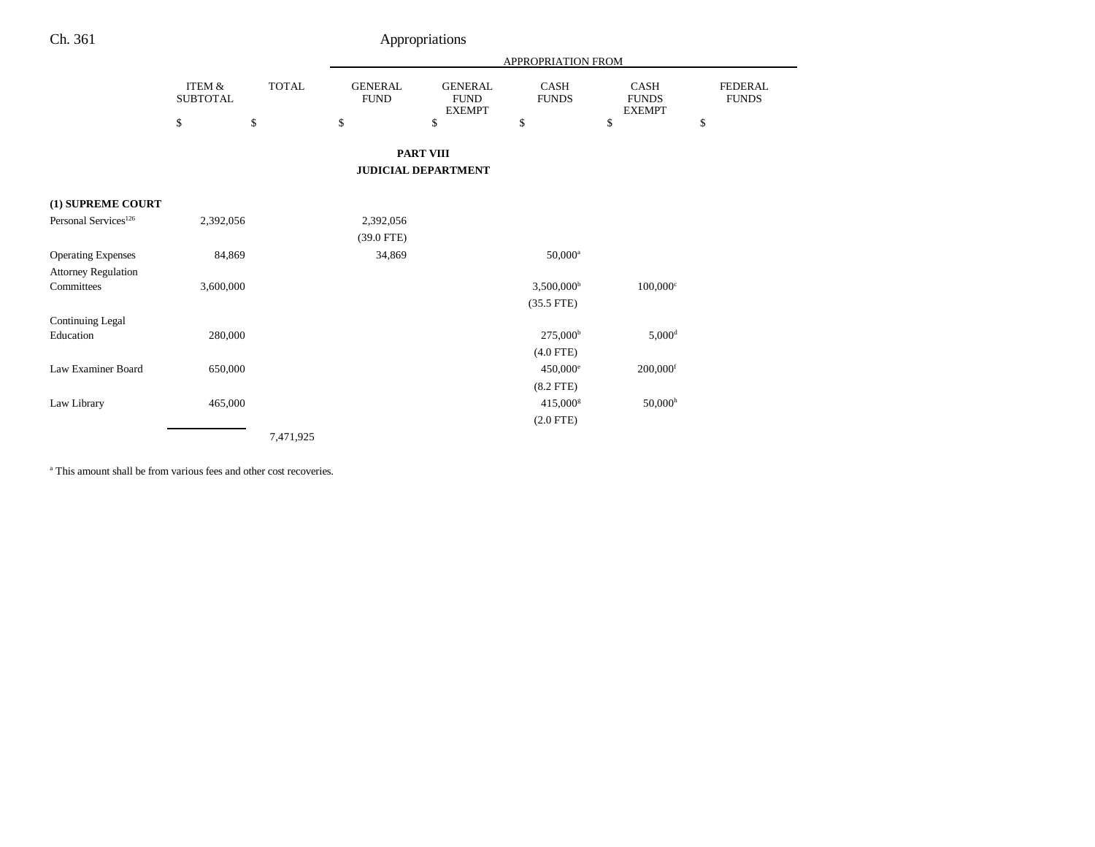|                                  |                           |              |                               |                                                | APPROPRIATION FROM       |                                       |                                |
|----------------------------------|---------------------------|--------------|-------------------------------|------------------------------------------------|--------------------------|---------------------------------------|--------------------------------|
|                                  | ITEM &<br><b>SUBTOTAL</b> | <b>TOTAL</b> | <b>GENERAL</b><br><b>FUND</b> | <b>GENERAL</b><br><b>FUND</b><br><b>EXEMPT</b> | CASH<br><b>FUNDS</b>     | CASH<br><b>FUNDS</b><br><b>EXEMPT</b> | <b>FEDERAL</b><br><b>FUNDS</b> |
|                                  | \$                        | \$           | \$                            | \$                                             | \$                       | \$                                    | \$                             |
|                                  |                           |              |                               | <b>PART VIII</b>                               |                          |                                       |                                |
|                                  |                           |              |                               | <b>JUDICIAL DEPARTMENT</b>                     |                          |                                       |                                |
| (1) SUPREME COURT                |                           |              |                               |                                                |                          |                                       |                                |
| Personal Services <sup>126</sup> | 2,392,056                 |              | 2,392,056                     |                                                |                          |                                       |                                |
|                                  |                           |              | $(39.0$ FTE)                  |                                                |                          |                                       |                                |
| <b>Operating Expenses</b>        | 84,869                    |              | 34,869                        |                                                | $50,000^a$               |                                       |                                |
| <b>Attorney Regulation</b>       |                           |              |                               |                                                |                          |                                       |                                |
| Committees                       | 3,600,000                 |              |                               |                                                | $3,500,000$ <sup>b</sup> | $100,000$ <sup>c</sup>                |                                |
|                                  |                           |              |                               |                                                | $(35.5$ FTE)             |                                       |                                |
| Continuing Legal                 |                           |              |                               |                                                |                          |                                       |                                |
| Education                        | 280,000                   |              |                               |                                                | $275,000^{\rm b}$        | $5,000$ <sup>d</sup>                  |                                |
|                                  |                           |              |                               |                                                | $(4.0$ FTE)              |                                       |                                |
| Law Examiner Board               | 650,000                   |              |                               |                                                | $450,000$ <sup>e</sup>   | $200,000$ <sup>f</sup>                |                                |
|                                  |                           |              |                               |                                                | $(8.2$ FTE $)$           |                                       |                                |
| Law Library                      | 465,000                   |              |                               |                                                | $415,000^{\rm g}$        | 50,000 <sup>h</sup>                   |                                |
|                                  |                           |              |                               |                                                | $(2.0$ FTE $)$           |                                       |                                |
|                                  |                           | 7,471,925    |                               |                                                |                          |                                       |                                |

a This amount shall be from various fees and other cost recoveries.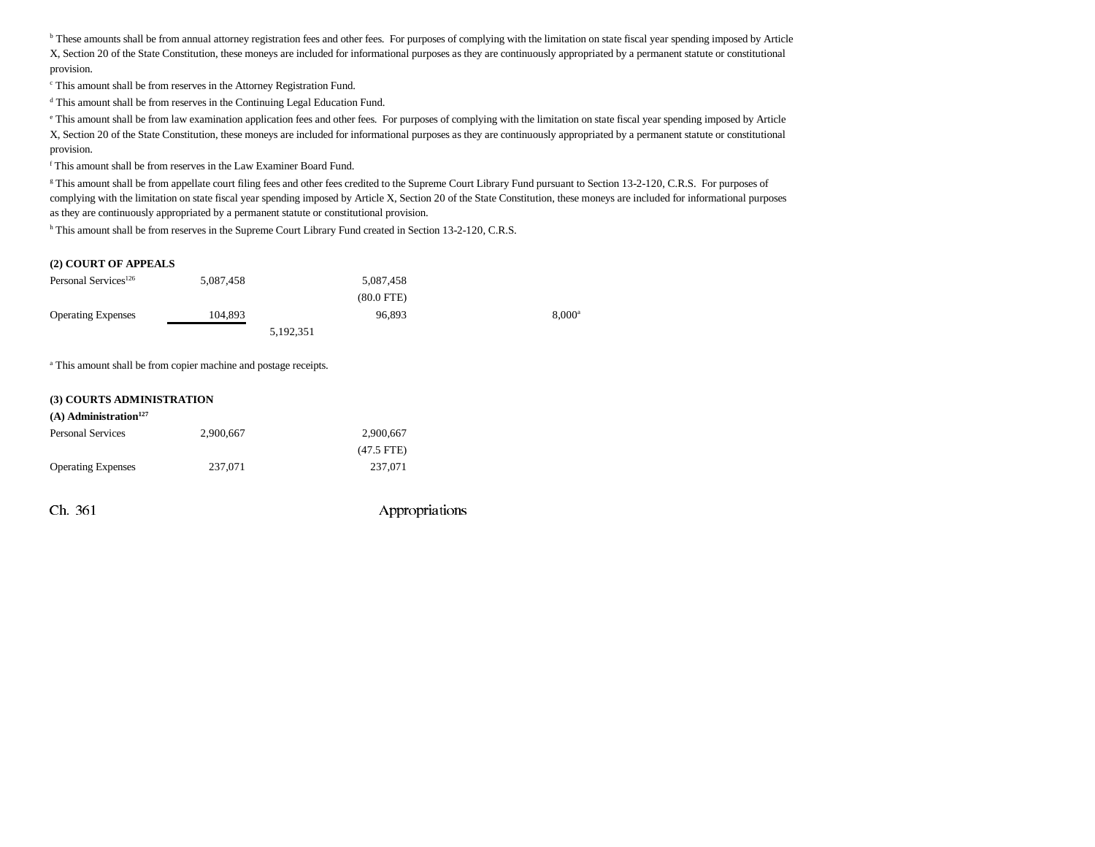**b** These amounts shall be from annual attorney registration fees and other fees. For purposes of complying with the limitation on state fiscal year spending imposed by Article X, Section 20 of the State Constitution, these moneys are included for informational purposes as they are continuously appropriated by a permanent statute or constitutional provision.

c This amount shall be from reserves in the Attorney Registration Fund.

d This amount shall be from reserves in the Continuing Legal Education Fund.

e This amount shall be from law examination application fees and other fees. For purposes of complying with the limitation on state fiscal year spending imposed by Article X, Section 20 of the State Constitution, these moneys are included for informational purposes as they are continuously appropriated by a permanent statute or constitutional provision.

f This amount shall be from reserves in the Law Examiner Board Fund.

<sup>g</sup> This amount shall be from appellate court filing fees and other fees credited to the Supreme Court Library Fund pursuant to Section 13-2-120, C.R.S. For purposes of complying with the limitation on state fiscal year spending imposed by Article X, Section 20 of the State Constitution, these moneys are included for informational purposes as they are continuously appropriated by a permanent statute or constitutional provision.

h This amount shall be from reserves in the Supreme Court Library Fund created in Section 13-2-120, C.R.S.

#### **(2) COURT OF APPEALS**

| Personal Services <sup>126</sup> | 5.087.458 | 5.087.458    |                 |
|----------------------------------|-----------|--------------|-----------------|
|                                  |           | $(80.0$ FTE) |                 |
| <b>Operating Expenses</b>        | 104.893   | 96.893       | $8.000^{\circ}$ |
|                                  | 5,192,351 |              |                 |

<sup>a</sup> This amount shall be from copier machine and postage receipts.

#### **(3) COURTS ADMINISTRATION**

| $(A)$ Administration <sup>127</sup> |           |              |  |  |  |  |
|-------------------------------------|-----------|--------------|--|--|--|--|
| <b>Personal Services</b>            | 2.900.667 | 2.900.667    |  |  |  |  |
|                                     |           | $(47.5$ FTE) |  |  |  |  |
| <b>Operating Expenses</b>           | 237,071   | 237.071      |  |  |  |  |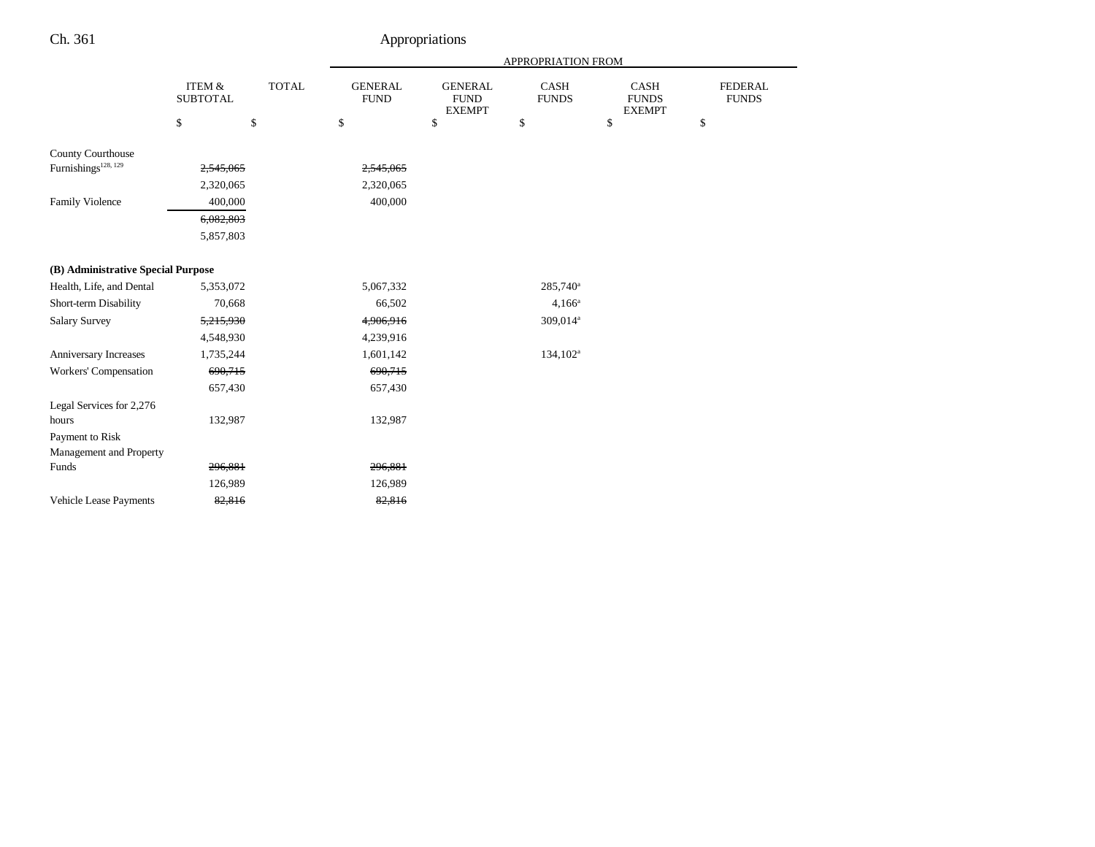|                                    |                                      |              |                               | APPROPRIATION FROM                             |                      |                                              |                                |  |
|------------------------------------|--------------------------------------|--------------|-------------------------------|------------------------------------------------|----------------------|----------------------------------------------|--------------------------------|--|
|                                    | <b>ITEM &amp;</b><br><b>SUBTOTAL</b> | <b>TOTAL</b> | <b>GENERAL</b><br><b>FUND</b> | <b>GENERAL</b><br><b>FUND</b><br><b>EXEMPT</b> | CASH<br><b>FUNDS</b> | <b>CASH</b><br><b>FUNDS</b><br><b>EXEMPT</b> | <b>FEDERAL</b><br><b>FUNDS</b> |  |
|                                    | \$                                   | \$           | \$                            | \$                                             | \$                   | \$                                           | \$                             |  |
| County Courthouse                  |                                      |              |                               |                                                |                      |                                              |                                |  |
| Furnishings <sup>128, 129</sup>    | 2,545,065                            |              | 2,545,065                     |                                                |                      |                                              |                                |  |
|                                    | 2,320,065                            |              | 2,320,065                     |                                                |                      |                                              |                                |  |
| <b>Family Violence</b>             | 400,000                              |              | 400,000                       |                                                |                      |                                              |                                |  |
|                                    | 6,082,803                            |              |                               |                                                |                      |                                              |                                |  |
|                                    | 5,857,803                            |              |                               |                                                |                      |                                              |                                |  |
| (B) Administrative Special Purpose |                                      |              |                               |                                                |                      |                                              |                                |  |
| Health, Life, and Dental           | 5,353,072                            |              | 5,067,332                     |                                                | $285,740^{\circ}$    |                                              |                                |  |
| Short-term Disability              | 70,668                               |              | 66,502                        |                                                | $4,166^a$            |                                              |                                |  |
| <b>Salary Survey</b>               | 5,215,930                            |              | 4,906,916                     |                                                | 309,014 <sup>a</sup> |                                              |                                |  |
|                                    | 4,548,930                            |              | 4,239,916                     |                                                |                      |                                              |                                |  |
| Anniversary Increases              | 1,735,244                            |              | 1,601,142                     |                                                | $134,102^a$          |                                              |                                |  |
| Workers' Compensation              | 690,715                              |              | 690,715                       |                                                |                      |                                              |                                |  |
|                                    | 657,430                              |              | 657,430                       |                                                |                      |                                              |                                |  |
| Legal Services for 2,276           |                                      |              |                               |                                                |                      |                                              |                                |  |
| hours                              | 132,987                              |              | 132,987                       |                                                |                      |                                              |                                |  |
| Payment to Risk                    |                                      |              |                               |                                                |                      |                                              |                                |  |
| Management and Property            |                                      |              |                               |                                                |                      |                                              |                                |  |
| Funds                              | 296,881                              |              | 296,881                       |                                                |                      |                                              |                                |  |
|                                    | 126,989                              |              | 126,989                       |                                                |                      |                                              |                                |  |
| Vehicle Lease Payments             | 82,816                               |              | 82,816                        |                                                |                      |                                              |                                |  |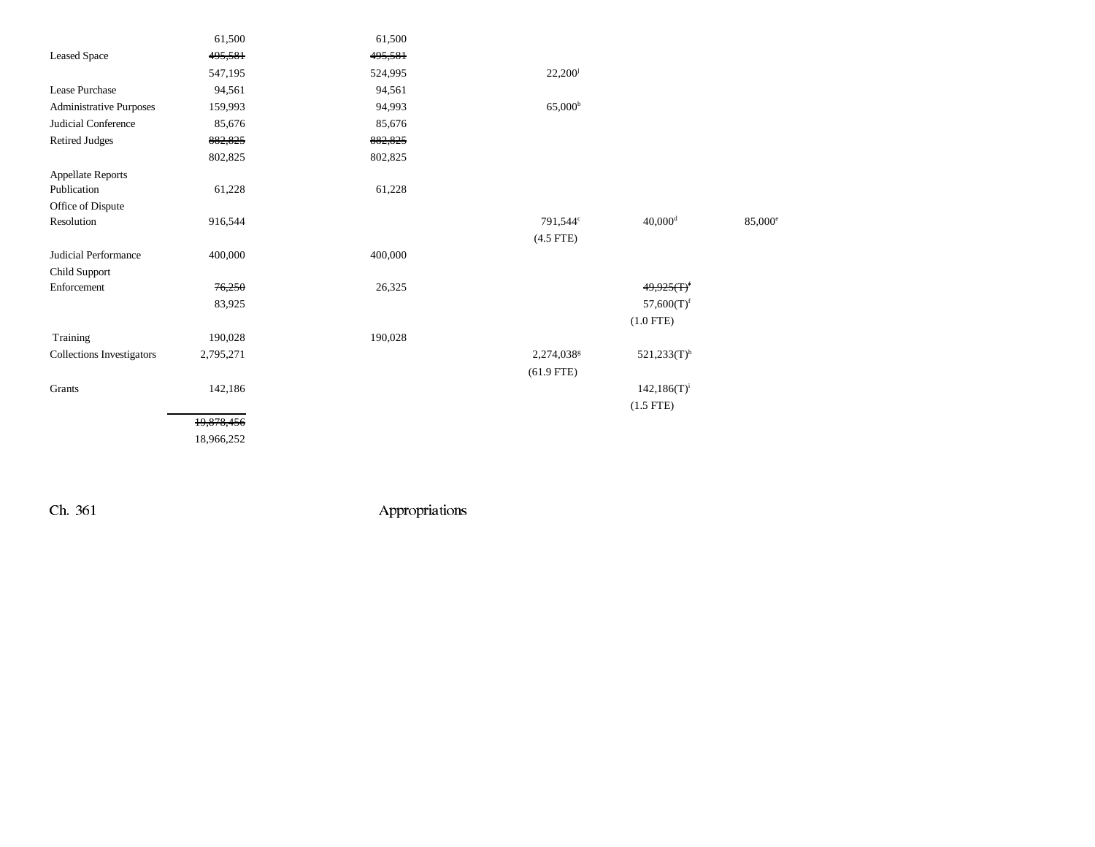|                           | 61,500     | 61,500  |                        |                           |                  |
|---------------------------|------------|---------|------------------------|---------------------------|------------------|
| <b>Leased Space</b>       | 495,581    | 495,581 |                        |                           |                  |
|                           | 547,195    | 524,995 | $22,200^{\rm j}$       |                           |                  |
| Lease Purchase            | 94,561     | 94,561  |                        |                           |                  |
| Administrative Purposes   | 159,993    | 94,993  | 65,000 <sup>b</sup>    |                           |                  |
| Judicial Conference       | 85,676     | 85,676  |                        |                           |                  |
| <b>Retired Judges</b>     | 882,825    | 882,825 |                        |                           |                  |
|                           | 802,825    | 802,825 |                        |                           |                  |
| <b>Appellate Reports</b>  |            |         |                        |                           |                  |
| Publication               | 61,228     | 61,228  |                        |                           |                  |
| Office of Dispute         |            |         |                        |                           |                  |
| Resolution                | 916,544    |         | 791,544°               | $40,000$ <sup>d</sup>     | $85,000^{\circ}$ |
|                           |            |         | $(4.5$ FTE)            |                           |                  |
| Judicial Performance      | 400,000    | 400,000 |                        |                           |                  |
| Child Support             |            |         |                        |                           |                  |
| Enforcement               | 76,250     | 26,325  |                        | 49,925(f)                 |                  |
|                           | 83,925     |         |                        | $57,600(T)$ <sup>f</sup>  |                  |
|                           |            |         |                        | $(1.0$ FTE)               |                  |
| Training                  | 190,028    | 190,028 |                        |                           |                  |
| Collections Investigators | 2,795,271  |         | 2,274,038 <sup>g</sup> | $521,233(T)$ <sup>h</sup> |                  |
|                           |            |         | $(61.9$ FTE)           |                           |                  |
| Grants                    | 142,186    |         |                        | $142,186(T)^{i}$          |                  |
|                           |            |         |                        | $(1.5$ FTE)               |                  |
|                           | 19,878,456 |         |                        |                           |                  |
|                           | 18,966,252 |         |                        |                           |                  |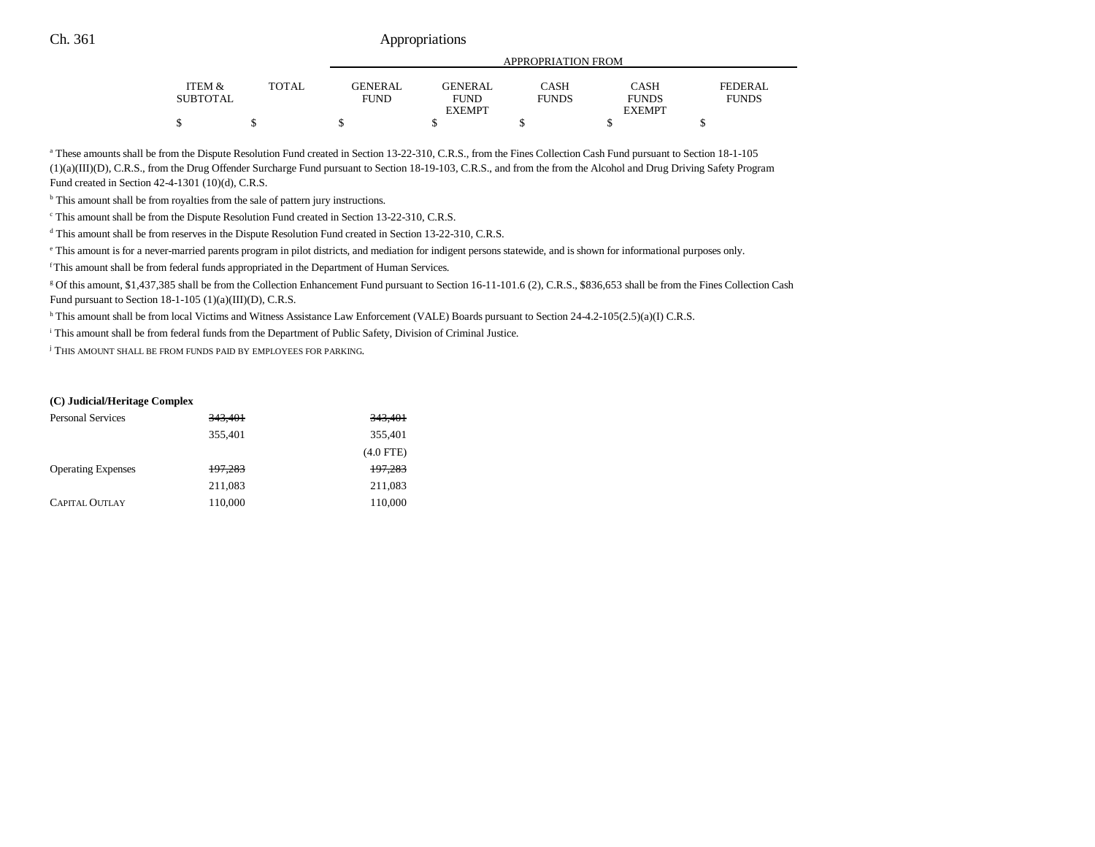|                   |       |                |                | APPROPRIATION FROM |               |                |
|-------------------|-------|----------------|----------------|--------------------|---------------|----------------|
| <b>ITEM &amp;</b> | TOTAL | <b>GENERAL</b> | <b>GENERAL</b> | <b>CASH</b>        | CASH          | <b>FEDERAL</b> |
| <b>SUBTOTAL</b>   |       | FUND           | <b>FUND</b>    | <b>FUNDS</b>       | <b>FUNDS</b>  | <b>FUNDS</b>   |
|                   |       |                | <b>EXEMPT</b>  |                    | <b>EXEMPT</b> |                |
| ጦ                 |       |                |                |                    |               |                |

<sup>a</sup> These amounts shall be from the Dispute Resolution Fund created in Section 13-22-310, C.R.S., from the Fines Collection Cash Fund pursuant to Section 18-1-105 (1)(a)(III)(D), C.R.S., from the Drug Offender Surcharge Fund pursuant to Section 18-19-103, C.R.S., and from the from the Alcohol and Drug Driving Safety Program Fund created in Section 42-4-1301 (10)(d), C.R.S.

<sup>b</sup> This amount shall be from royalties from the sale of pattern jury instructions.

 $\textdegree$  This amount shall be from the Dispute Resolution Fund created in Section 13-22-310, C.R.S.

d This amount shall be from reserves in the Dispute Resolution Fund created in Section 13-22-310, C.R.S.

e This amount is for a never-married parents program in pilot districts, and mediation for indigent persons statewide, and is shown for informational purposes only.

f This amount shall be from federal funds appropriated in the Department of Human Services.

g Of this amount, \$1,437,385 shall be from the Collection Enhancement Fund pursuant to Section 16-11-101.6 (2), C.R.S., \$836,653 shall be from the Fines Collection Cash Fund pursuant to Section 18-1-105 (1)(a)(III)(D), C.R.S.

h This amount shall be from local Victims and Witness Assistance Law Enforcement (VALE) Boards pursuant to Section 24-4.2-105(2.5)(a)(I) C.R.S.

i This amount shall be from federal funds from the Department of Public Safety, Division of Criminal Justice.

<sup>j</sup> This amount shall be from funds paid by employees for parking.

#### **(C) Judicial/Heritage Complex**

| <b>Personal Services</b>  | 343,401 | 343,401     |
|---------------------------|---------|-------------|
|                           | 355,401 | 355,401     |
|                           |         | $(4.0$ FTE) |
| <b>Operating Expenses</b> | 197,283 | 197,283     |
|                           | 211,083 | 211,083     |
| <b>CAPITAL OUTLAY</b>     | 110,000 | 110,000     |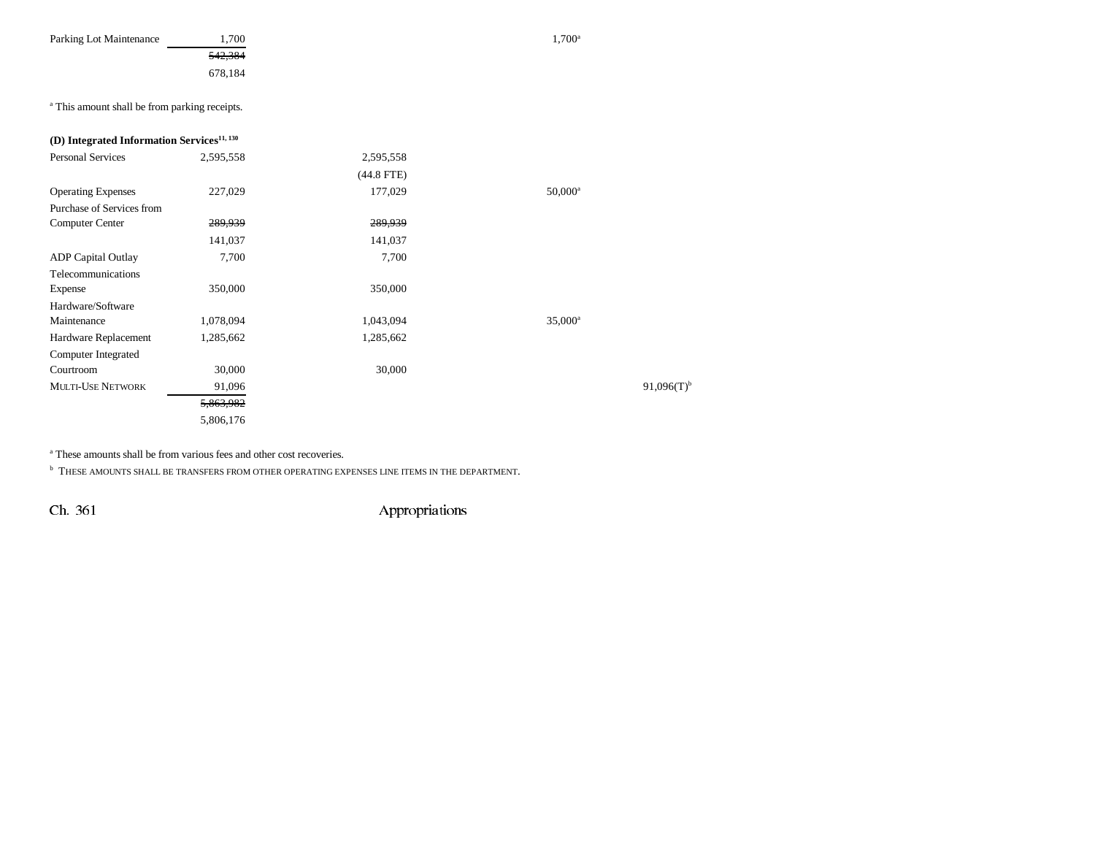| Parking Lot Maintenance | <sup>1,700</sup> | $1,700^{\circ}$ |
|-------------------------|------------------|-----------------|
|                         | 542,384          |                 |
|                         | 678,184          |                 |

<sup>a</sup> This amount shall be from parking receipts.

| (D) Integrated Information Services <sup>11, 130</sup> |              |                          |
|--------------------------------------------------------|--------------|--------------------------|
| 2,595,558                                              | 2,595,558    |                          |
|                                                        | $(44.8$ FTE) |                          |
| 227,029                                                | 177,029      | $50,000^{\rm a}$         |
|                                                        |              |                          |
| 289,939                                                | 289,939      |                          |
| 141,037                                                | 141,037      |                          |
| 7,700                                                  | 7,700        |                          |
|                                                        |              |                          |
| 350,000                                                | 350,000      |                          |
|                                                        |              |                          |
| 1,078,094                                              | 1,043,094    | $35,000^{\rm a}$         |
| 1,285,662                                              | 1,285,662    |                          |
|                                                        |              |                          |
| 30,000                                                 | 30,000       |                          |
| 91,096                                                 |              | $91,096(T)$ <sup>b</sup> |
| 5,863,982                                              |              |                          |
| 5,806,176                                              |              |                          |
|                                                        |              |                          |

<sup>a</sup> These amounts shall be from various fees and other cost recoveries.

 $^{\rm b}$  THESE AMOUNTS SHALL BE TRANSFERS FROM OTHER OPERATING EXPENSES LINE ITEMS IN THE DEPARTMENT.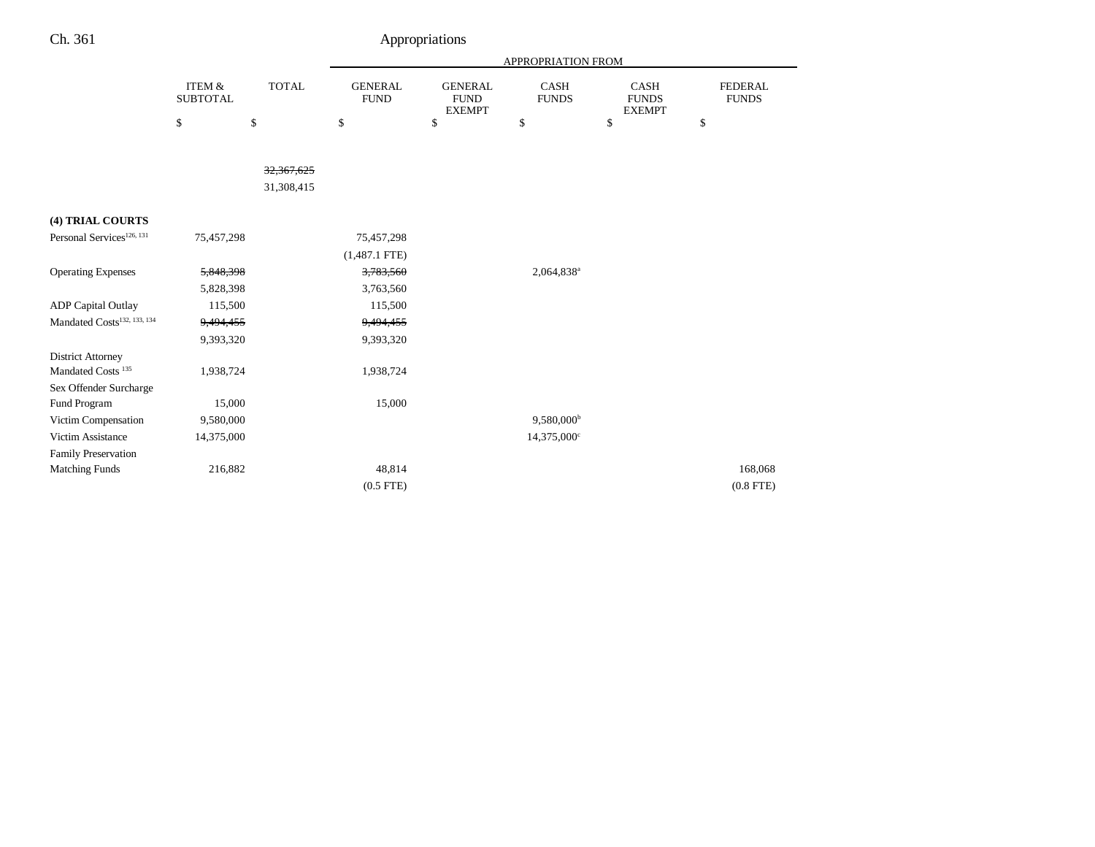|                                         |                                      |              |                               |                                                | APPROPRIATION FROM          |                                              |                                |
|-----------------------------------------|--------------------------------------|--------------|-------------------------------|------------------------------------------------|-----------------------------|----------------------------------------------|--------------------------------|
|                                         | <b>ITEM &amp;</b><br><b>SUBTOTAL</b> | <b>TOTAL</b> | <b>GENERAL</b><br><b>FUND</b> | <b>GENERAL</b><br><b>FUND</b><br><b>EXEMPT</b> | <b>CASH</b><br><b>FUNDS</b> | <b>CASH</b><br><b>FUNDS</b><br><b>EXEMPT</b> | <b>FEDERAL</b><br><b>FUNDS</b> |
|                                         | \$                                   | \$           | \$                            | \$                                             | \$                          | \$                                           | \$                             |
|                                         |                                      |              |                               |                                                |                             |                                              |                                |
|                                         |                                      | 32, 367, 625 |                               |                                                |                             |                                              |                                |
|                                         |                                      | 31,308,415   |                               |                                                |                             |                                              |                                |
|                                         |                                      |              |                               |                                                |                             |                                              |                                |
| (4) TRIAL COURTS                        |                                      |              |                               |                                                |                             |                                              |                                |
| Personal Services <sup>126, 131</sup>   | 75,457,298                           |              | 75,457,298                    |                                                |                             |                                              |                                |
|                                         |                                      |              | $(1,487.1$ FTE)               |                                                |                             |                                              |                                |
| <b>Operating Expenses</b>               | 5,848,398                            |              | 3,783,560                     |                                                | 2,064,838 <sup>a</sup>      |                                              |                                |
|                                         | 5,828,398                            |              | 3,763,560                     |                                                |                             |                                              |                                |
| <b>ADP</b> Capital Outlay               | 115,500                              |              | 115,500                       |                                                |                             |                                              |                                |
| Mandated Costs <sup>132, 133, 134</sup> | 9,494,455                            |              | 9,494,455                     |                                                |                             |                                              |                                |
|                                         | 9,393,320                            |              | 9,393,320                     |                                                |                             |                                              |                                |
| <b>District Attorney</b>                |                                      |              |                               |                                                |                             |                                              |                                |
| Mandated Costs <sup>135</sup>           | 1,938,724                            |              | 1,938,724                     |                                                |                             |                                              |                                |
| Sex Offender Surcharge                  |                                      |              |                               |                                                |                             |                                              |                                |
| Fund Program                            | 15,000                               |              | 15,000                        |                                                |                             |                                              |                                |
| Victim Compensation                     | 9,580,000                            |              |                               |                                                | $9,580,000^{\rm b}$         |                                              |                                |
| Victim Assistance                       | 14,375,000                           |              |                               |                                                | 14,375,000°                 |                                              |                                |
| <b>Family Preservation</b>              |                                      |              |                               |                                                |                             |                                              |                                |
| <b>Matching Funds</b>                   | 216,882                              |              | 48,814                        |                                                |                             |                                              | 168,068                        |
|                                         |                                      |              | $(0.5$ FTE)                   |                                                |                             |                                              | $(0.8$ FTE)                    |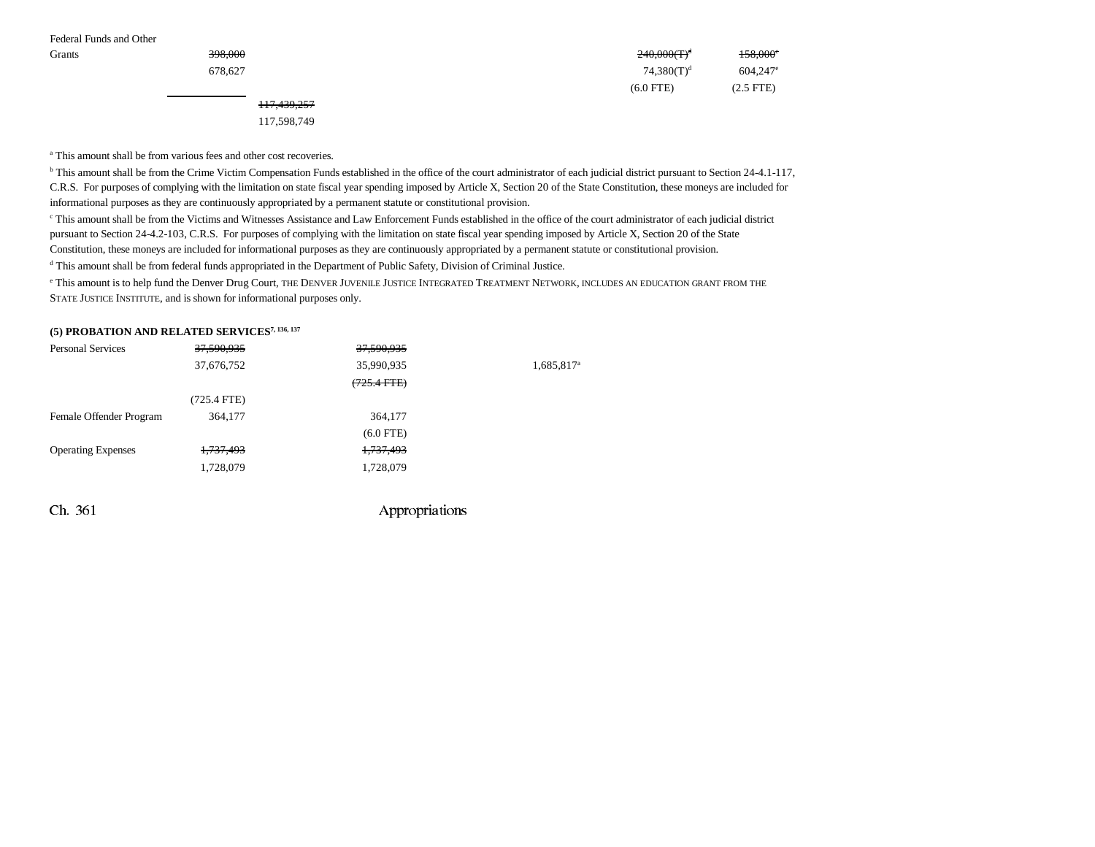| Federal Funds and Other |                        |                |                        |
|-------------------------|------------------------|----------------|------------------------|
| Grants                  | 398,000                | $240,000(T)^d$ | 158,000°               |
|                         | 678,627                | $74,380(T)^d$  | $604,247$ <sup>e</sup> |
|                         |                        | $(6.0$ FTE)    | $(2.5$ FTE)            |
|                         | <del>117,439,257</del> |                |                        |
|                         | 117,598,749            |                |                        |

a This amount shall be from various fees and other cost recoveries.

<sup>b</sup> This amount shall be from the Crime Victim Compensation Funds established in the office of the court administrator of each judicial district pursuant to Section 24-4.1-117, C.R.S. For purposes of complying with the limitation on state fiscal year spending imposed by Article X, Section 20 of the State Constitution, these moneys are included for informational purposes as they are continuously appropriated by a permanent statute or constitutional provision.

c This amount shall be from the Victims and Witnesses Assistance and Law Enforcement Funds established in the office of the court administrator of each judicial district pursuant to Section 24-4.2-103, C.R.S. For purposes of complying with the limitation on state fiscal year spending imposed by Article X, Section 20 of the State Constitution, these moneys are included for informational purposes as they are continuously appropriated by a permanent statute or constitutional provision.

d This amount shall be from federal funds appropriated in the Department of Public Safety, Division of Criminal Justice.

e This amount is to help fund the Denver Drug Court, the Denver Juvenile Justice Integrated Treatment Network, includes an education grant from the STATE JUSTICE INSTITUTE, and is shown for informational purposes only.

### **(5) PROBATION AND RELATED SERVICES7, 136, 137**

| <b>Personal Services</b>  | 37,590,935           | 37,590,935       |                        |
|---------------------------|----------------------|------------------|------------------------|
|                           | 37,676,752           | 35,990,935       | 1,685,817 <sup>a</sup> |
|                           |                      | $(725.4$ FTE $)$ |                        |
|                           | $(725.4$ FTE)        |                  |                        |
| Female Offender Program   | 364,177              | 364,177          |                        |
|                           |                      | $(6.0$ FTE)      |                        |
| <b>Operating Expenses</b> | <del>1,737,493</del> | 1,737,493        |                        |
|                           | 1,728,079            | 1,728,079        |                        |
|                           |                      |                  |                        |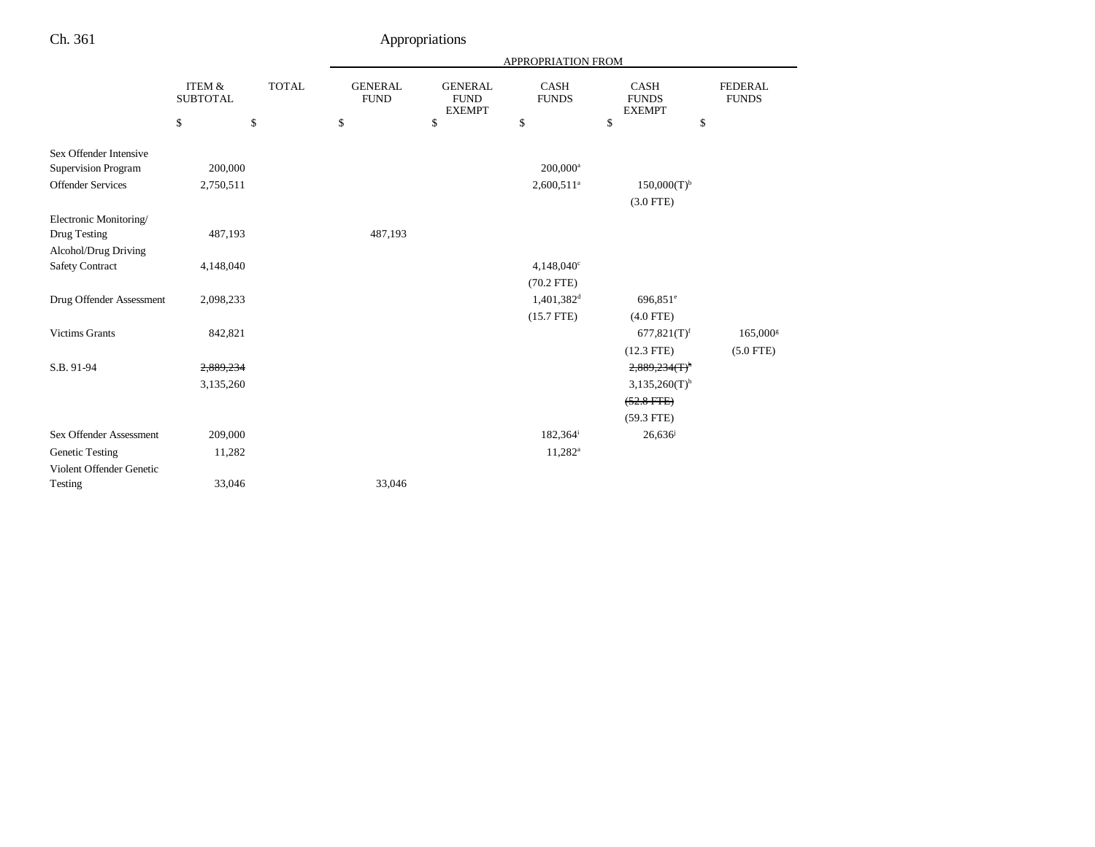|                            |                                      |              |                               |                                                | APPROPRIATION FROM          |                                              |                                |
|----------------------------|--------------------------------------|--------------|-------------------------------|------------------------------------------------|-----------------------------|----------------------------------------------|--------------------------------|
|                            | <b>ITEM &amp;</b><br><b>SUBTOTAL</b> | <b>TOTAL</b> | <b>GENERAL</b><br><b>FUND</b> | <b>GENERAL</b><br><b>FUND</b><br><b>EXEMPT</b> | <b>CASH</b><br><b>FUNDS</b> | <b>CASH</b><br><b>FUNDS</b><br><b>EXEMPT</b> | <b>FEDERAL</b><br><b>FUNDS</b> |
|                            | \$                                   | \$           | \$                            | $\mathbb{S}$                                   | \$                          | \$<br>\$                                     |                                |
| Sex Offender Intensive     |                                      |              |                               |                                                |                             |                                              |                                |
| <b>Supervision Program</b> | 200,000                              |              |                               |                                                | $200,000^a$                 |                                              |                                |
| <b>Offender Services</b>   | 2,750,511                            |              |                               |                                                | $2,600,511$ <sup>a</sup>    | $150,000(T)^{b}$                             |                                |
|                            |                                      |              |                               |                                                |                             | $(3.0$ FTE)                                  |                                |
| Electronic Monitoring/     |                                      |              |                               |                                                |                             |                                              |                                |
| Drug Testing               | 487,193                              |              | 487,193                       |                                                |                             |                                              |                                |
| Alcohol/Drug Driving       |                                      |              |                               |                                                |                             |                                              |                                |
| <b>Safety Contract</b>     | 4,148,040                            |              |                               |                                                | $4,148,040^{\circ}$         |                                              |                                |
|                            |                                      |              |                               |                                                | $(70.2$ FTE)                |                                              |                                |
| Drug Offender Assessment   | 2,098,233                            |              |                               |                                                | $1,401,382$ <sup>d</sup>    | 696,851 <sup>e</sup>                         |                                |
|                            |                                      |              |                               |                                                | $(15.7$ FTE)                | $(4.0$ FTE)                                  |                                |
| <b>Victims Grants</b>      | 842,821                              |              |                               |                                                |                             | $677,821(T)$ <sup>f</sup>                    | $165,000$ <sup>g</sup>         |
|                            |                                      |              |                               |                                                |                             | $(12.3$ FTE)                                 | $(5.0$ FTE)                    |
| S.B. 91-94                 | 2,889,234                            |              |                               |                                                |                             | $2,889,234$ (T) <sup>h</sup>                 |                                |
|                            | 3,135,260                            |              |                               |                                                |                             | $3,135,260(T)$ <sup>h</sup>                  |                                |
|                            |                                      |              |                               |                                                |                             | $(52.8$ FTE $)$                              |                                |
|                            |                                      |              |                               |                                                |                             | $(59.3$ FTE)                                 |                                |
| Sex Offender Assessment    | 209,000                              |              |                               |                                                | 182,364 <sup>i</sup>        | 26,636                                       |                                |
| <b>Genetic Testing</b>     | 11,282                               |              |                               |                                                | $11,282^a$                  |                                              |                                |
| Violent Offender Genetic   |                                      |              |                               |                                                |                             |                                              |                                |
| Testing                    | 33,046                               |              | 33,046                        |                                                |                             |                                              |                                |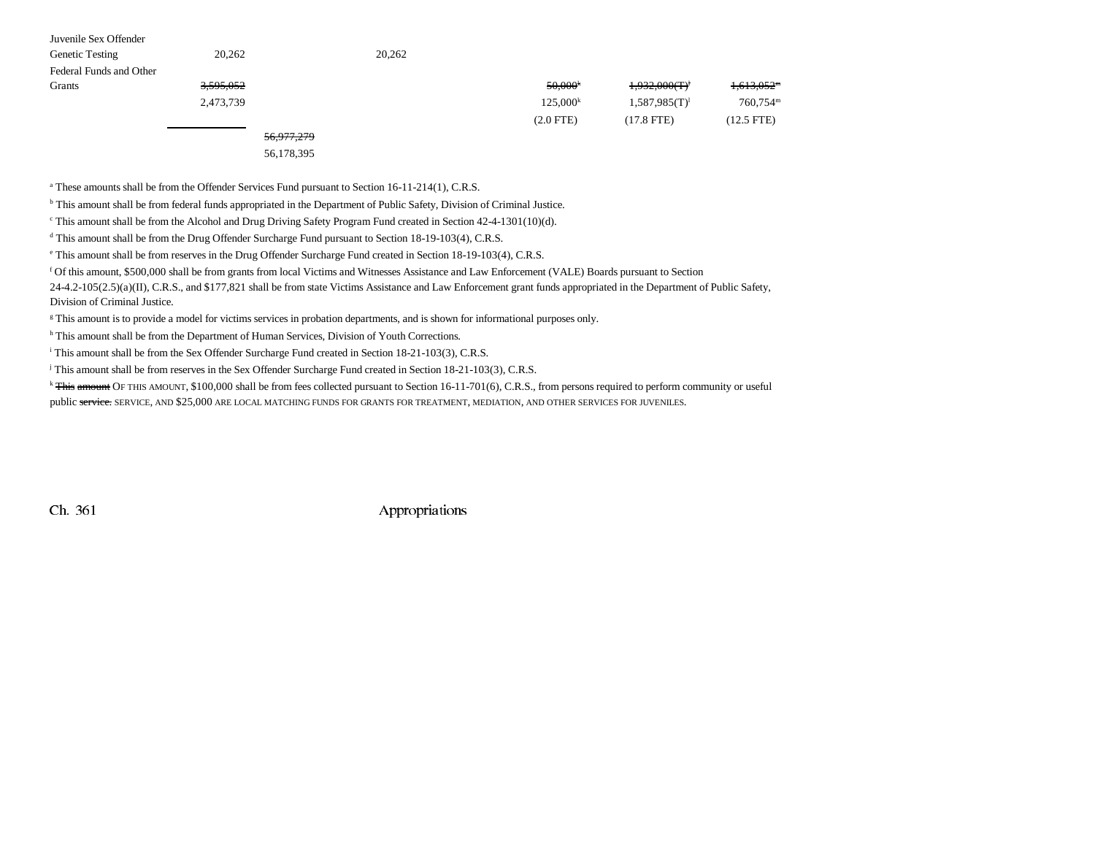| Juvenile Sex Offender   |                      |        |                      |                  |                        |
|-------------------------|----------------------|--------|----------------------|------------------|------------------------|
| <b>Genetic Testing</b>  | 20,262               | 20,262 |                      |                  |                        |
| Federal Funds and Other |                      |        |                      |                  |                        |
| Grants                  | <del>3,595,052</del> |        | 50,000 <sup>k</sup>  | 1,932,000(T)     | <del>1.613.052</del> " |
|                         | 2,473,739            |        | 125.000 <sup>k</sup> | $1,587,985(T)^1$ | 760,754m               |
|                         |                      |        | $(2.0$ FTE $)$       | $(17.8$ FTE)     | $(12.5$ FTE)           |

## 56,977,279

56,178,395

<sup>a</sup> These amounts shall be from the Offender Services Fund pursuant to Section 16-11-214(1), C.R.S.

<sup>b</sup> This amount shall be from federal funds appropriated in the Department of Public Safety, Division of Criminal Justice.

 $\epsilon$  This amount shall be from the Alcohol and Drug Driving Safety Program Fund created in Section 42-4-1301(10)(d).

<sup>d</sup> This amount shall be from the Drug Offender Surcharge Fund pursuant to Section 18-19-103(4), C.R.S.

e This amount shall be from reserves in the Drug Offender Surcharge Fund created in Section 18-19-103(4), C.R.S.

f Of this amount, \$500,000 shall be from grants from local Victims and Witnesses Assistance and Law Enforcement (VALE) Boards pursuant to Section

24-4.2-105(2.5)(a)(II), C.R.S., and \$177,821 shall be from state Victims Assistance and Law Enforcement grant funds appropriated in the Department of Public Safety, Division of Criminal Justice.

<sup>g</sup> This amount is to provide a model for victims services in probation departments, and is shown for informational purposes only.

h This amount shall be from the Department of Human Services, Division of Youth Corrections.

<sup>i</sup> This amount shall be from the Sex Offender Surcharge Fund created in Section 18-21-103(3), C.R.S.

j This amount shall be from reserves in the Sex Offender Surcharge Fund created in Section 18-21-103(3), C.R.S.

<sup>k</sup> This amount OF THIS AMOUNT, \$100,000 shall be from fees collected pursuant to Section 16-11-701(6), C.R.S., from persons required to perform community or useful public service. SERVICE, AND \$25,000 ARE LOCAL MATCHING FUNDS FOR GRANTS FOR TREATMENT, MEDIATION, AND OTHER SERVICES FOR JUVENILES.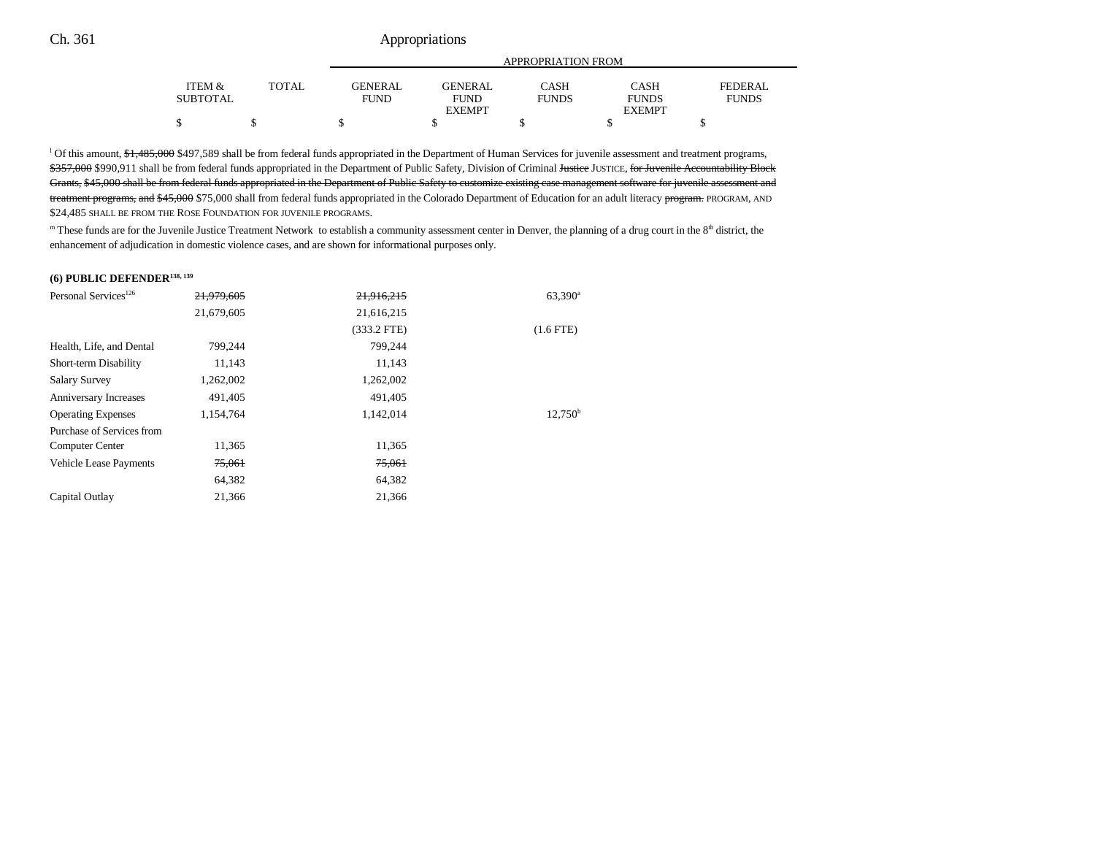|                 |       |                | APPROPRIATION FROM |              |               |              |  |  |
|-----------------|-------|----------------|--------------------|--------------|---------------|--------------|--|--|
|                 |       |                |                    |              |               |              |  |  |
| ITEM &          | TOTAL | <b>GENERAL</b> | <b>GENERAL</b>     | CASH         | <b>CASH</b>   | FEDERAL      |  |  |
| <b>SUBTOTAL</b> |       | <b>FUND</b>    | <b>FUND</b>        | <b>FUNDS</b> | <b>FUNDS</b>  | <b>FUNDS</b> |  |  |
|                 |       |                | <b>EXEMPT</b>      |              | <b>EXEMPT</b> |              |  |  |
|                 |       |                |                    |              |               |              |  |  |

<sup>1</sup> Of this amount, \$1,485,000 \$497,589 shall be from federal funds appropriated in the Department of Human Services for juvenile assessment and treatment programs, \$357,000 \$990,911 shall be from federal funds appropriated in the Department of Public Safety, Division of Criminal Justice JUSTICE, for Juvenile Accountability Block Grants, \$45,000 shall be from federal funds appropriated in the Department of Public Safety to customize existing case management software for juvenile assessment and treatment programs, and \$45,000 \$75,000 shall from federal funds appropriated in the Colorado Department of Education for an adult literacy program. PROGRAM, AND \$24,485 SHALL BE FROM THE ROSE FOUNDATION FOR JUVENILE PROGRAMS.

m These funds are for the Juvenile Justice Treatment Network to establish a community assessment center in Denver, the planning of a drug court in the 8<sup>th</sup> district, the enhancement of adjudication in domestic violence cases, and are shown for informational purposes only.

#### **(6) PUBLIC DEFENDER138, 139**

| Personal Services <sup>126</sup> | 21.979.605 | 21.916.215    | $63,390^{\rm a}$    |
|----------------------------------|------------|---------------|---------------------|
|                                  | 21,679,605 | 21,616,215    |                     |
|                                  |            | $(333.2$ FTE) | $(1.6$ FTE)         |
| Health, Life, and Dental         | 799.244    | 799.244       |                     |
| Short-term Disability            | 11,143     | 11,143        |                     |
| <b>Salary Survey</b>             | 1,262,002  | 1,262,002     |                     |
| <b>Anniversary Increases</b>     | 491,405    | 491,405       |                     |
| <b>Operating Expenses</b>        | 1,154,764  | 1,142,014     | 12.750 <sup>b</sup> |
| Purchase of Services from        |            |               |                     |
| Computer Center                  | 11,365     | 11,365        |                     |
| <b>Vehicle Lease Payments</b>    | 75,061     | 75,061        |                     |
|                                  | 64,382     | 64,382        |                     |
| Capital Outlay                   | 21,366     | 21,366        |                     |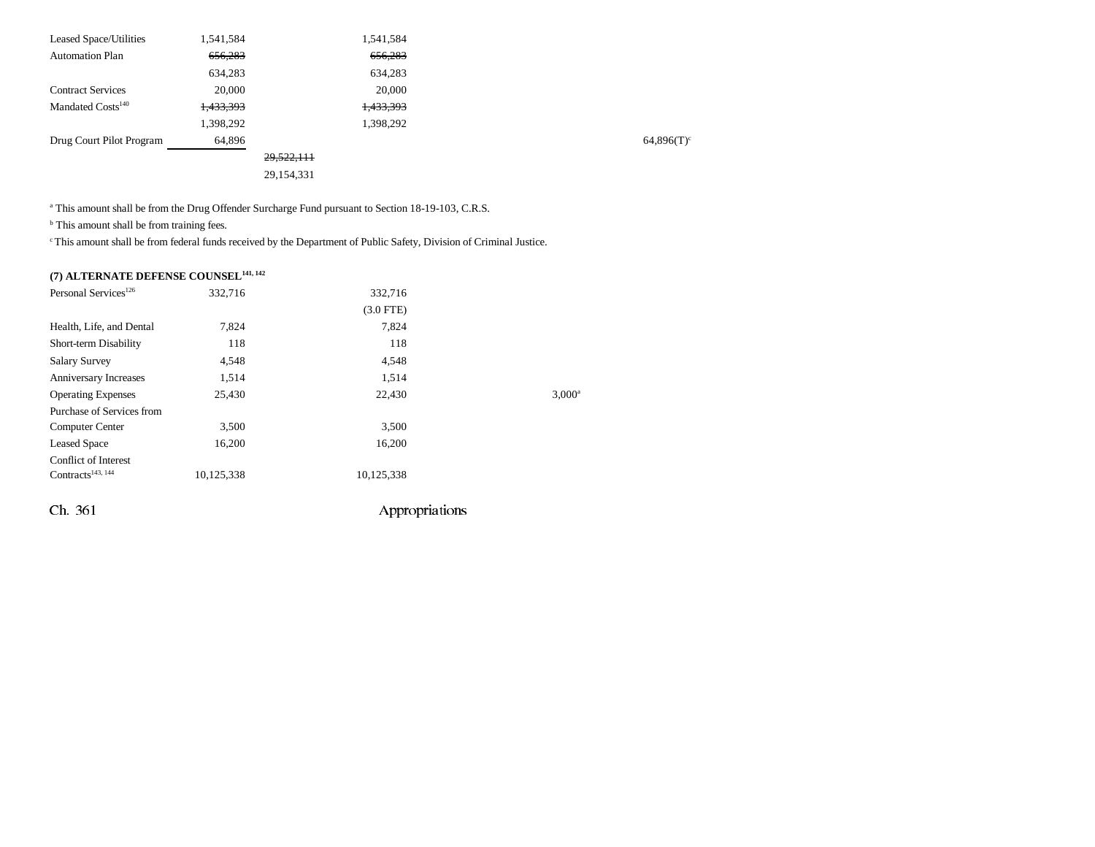| <b>Leased Space/Utilities</b> | 1,541,584 |              | 1,541,584 |  |
|-------------------------------|-----------|--------------|-----------|--|
| <b>Automation Plan</b>        | 656,283   |              | 656,283   |  |
|                               | 634,283   |              | 634,283   |  |
| <b>Contract Services</b>      | 20,000    |              | 20,000    |  |
| Mandated Costs <sup>140</sup> | 1,433,393 |              | 1,433,393 |  |
|                               | 1,398,292 |              | 1,398,292 |  |
| Drug Court Pilot Program      | 64,896    |              |           |  |
|                               |           | 29,522,111   |           |  |
|                               |           | 29, 154, 331 |           |  |
|                               |           |              |           |  |

<sup>a</sup> This amount shall be from the Drug Offender Surcharge Fund pursuant to Section 18-19-103, C.R.S.

<sup>b</sup> This amount shall be from training fees.

c This amount shall be from federal funds received by the Department of Public Safety, Division of Criminal Justice.

# **(7) ALTERNATE DEFENSE COUNSEL141, 142**

| Personal Services <sup>126</sup> | 332,716    | 332,716        |                 |
|----------------------------------|------------|----------------|-----------------|
|                                  |            | $(3.0$ FTE)    |                 |
| Health, Life, and Dental         | 7,824      | 7,824          |                 |
| Short-term Disability            | 118        | 118            |                 |
| <b>Salary Survey</b>             | 4,548      | 4,548          |                 |
| Anniversary Increases            | 1,514      | 1,514          |                 |
| <b>Operating Expenses</b>        | 25,430     | 22,430         | $3,000^{\circ}$ |
| Purchase of Services from        |            |                |                 |
| <b>Computer Center</b>           | 3,500      | 3,500          |                 |
| <b>Leased Space</b>              | 16,200     | 16,200         |                 |
| <b>Conflict of Interest</b>      |            |                |                 |
| Contracts <sup>143, 144</sup>    | 10,125,338 | 10,125,338     |                 |
| Ch. 361                          |            | Appropriations |                 |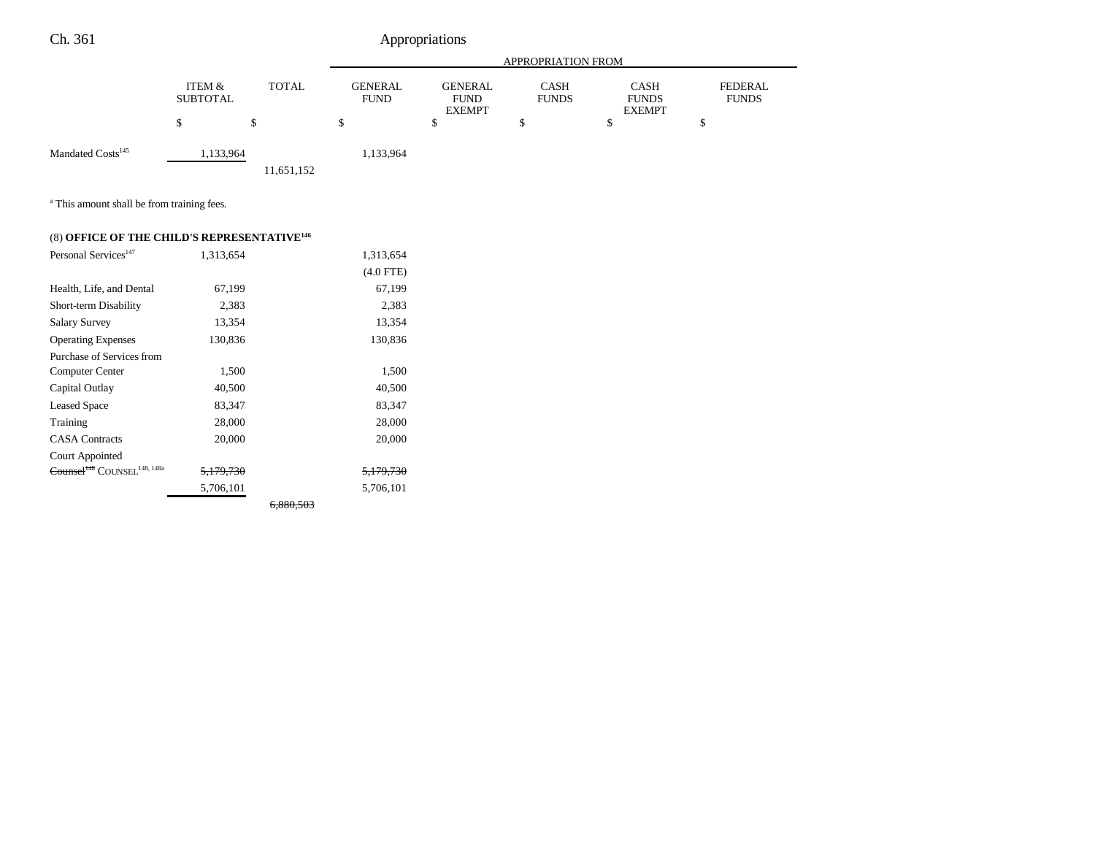|                               |                                           |            | <b>APPROPRIATION FROM</b>                                                       |   |                                                                             |  |                                |
|-------------------------------|-------------------------------------------|------------|---------------------------------------------------------------------------------|---|-----------------------------------------------------------------------------|--|--------------------------------|
|                               | ITEM &<br><b>TOTAL</b><br><b>SUBTOTAL</b> |            | <b>GENERAL</b><br><b>GENERAL</b><br><b>FUND</b><br><b>FUND</b><br><b>EXEMPT</b> |   | <b>CASH</b><br><b>CASH</b><br><b>FUNDS</b><br><b>FUNDS</b><br><b>EXEMPT</b> |  | <b>FEDERAL</b><br><b>FUNDS</b> |
|                               |                                           | S          | \$                                                                              | S | Φ                                                                           |  |                                |
| Mandated Costs <sup>145</sup> | 1,133,964                                 | 11,651,152 | 1,133,964                                                                       |   |                                                                             |  |                                |

<sup>a</sup> This amount shall be from training fees.

# (8) **OFFICE OF THE CHILD'S REPRESENTATIVE<sup>146</sup>**

| Personal Services <sup>147</sup>                    | 1.313.654            | 1,313,654            |
|-----------------------------------------------------|----------------------|----------------------|
|                                                     |                      | $(4.0$ FTE)          |
| Health, Life, and Dental                            | 67,199               | 67,199               |
| Short-term Disability                               | 2,383                | 2,383                |
| <b>Salary Survey</b>                                | 13,354               | 13,354               |
| <b>Operating Expenses</b>                           | 130,836              | 130,836              |
| Purchase of Services from                           |                      |                      |
| Computer Center                                     | 1,500                | 1,500                |
| Capital Outlay                                      | 40,500               | 40,500               |
| <b>Leased Space</b>                                 | 83,347               | 83,347               |
| Training                                            | 28,000               | 28,000               |
| <b>CASA</b> Contracts                               | 20,000               | 20,000               |
| Court Appointed                                     |                      |                      |
| Counsel <sup>148</sup> COUNSEL <sup>148, 148a</sup> | <del>5,179,730</del> | <del>5,179,730</del> |
|                                                     | 5,706,101            | 5.706.101            |

6,880,503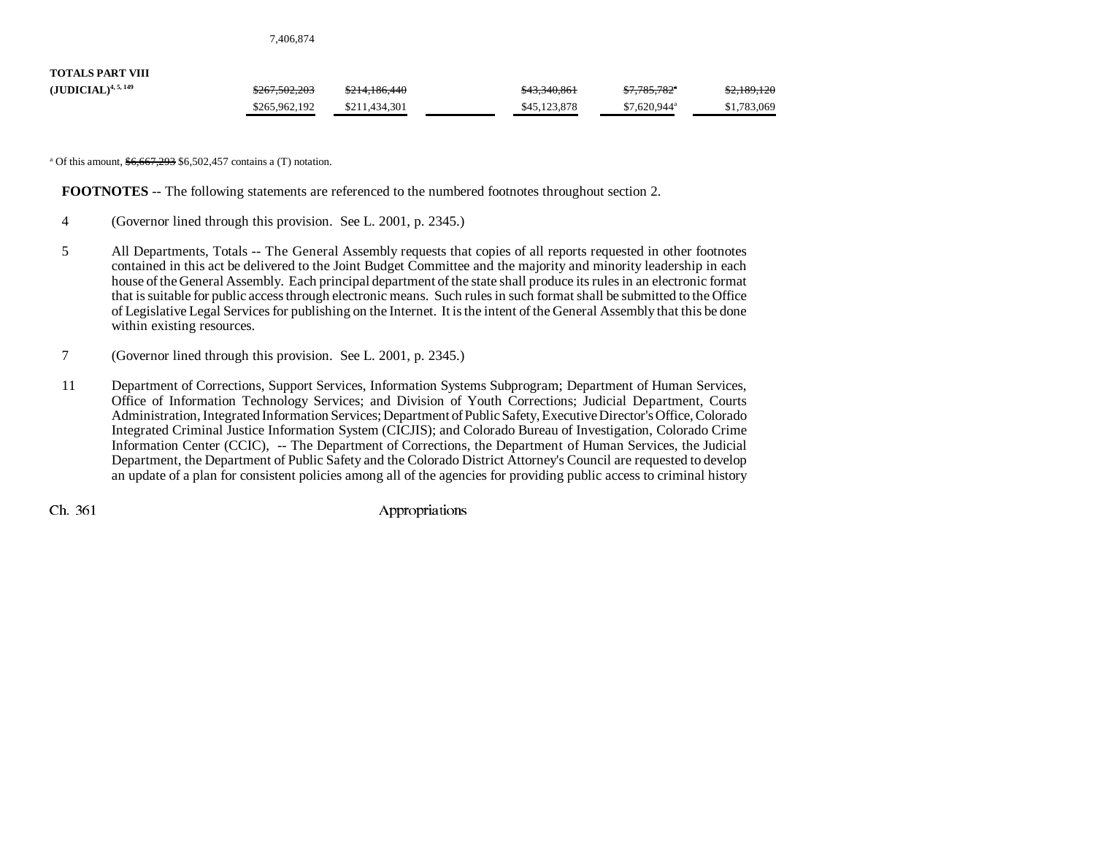7,406,874

| <b>TOTALS PART VIII</b>  |                          |               |              |                           |             |
|--------------------------|--------------------------|---------------|--------------|---------------------------|-------------|
| $(JUDICIAL)^{4, 5, 149}$ | <del>\$267,502,203</del> | \$214,186,440 | \$43,340,861 | \$7,785,782"              | \$2,189,120 |
|                          | \$265,962,192            | \$211.434.301 | \$45,123,878 | $$7.620.944$ <sup>a</sup> | \$1,783,069 |

<sup>a</sup> Of this amount,  $\frac{$6,667,293}{$6,502,457}$  contains a (T) notation.

**FOOTNOTES** -- The following statements are referenced to the numbered footnotes throughout section 2.

- 4 (Governor lined through this provision. See L. 2001, p. 2345.)
- 5 All Departments, Totals -- The General Assembly requests that copies of all reports requested in other footnotes contained in this act be delivered to the Joint Budget Committee and the majority and minority leadership in each house of the General Assembly. Each principal department of the state shall produce its rules in an electronic format that is suitable for public access through electronic means. Such rules in such format shall be submitted to the Office of Legislative Legal Services for publishing on the Internet. It is the intent of the General Assembly that this be done within existing resources.
- 7 (Governor lined through this provision. See L. 2001, p. 2345.)
- 11 Department of Corrections, Support Services, Information Systems Subprogram; Department of Human Services, Office of Information Technology Services; and Division of Youth Corrections; Judicial Department, Courts Administration, Integrated Information Services; Department of Public Safety, Executive Director's Office, Colorado Integrated Criminal Justice Information System (CICJIS); and Colorado Bureau of Investigation, Colorado Crime Information Center (CCIC), -- The Department of Corrections, the Department of Human Services, the Judicial Department, the Department of Public Safety and the Colorado District Attorney's Council are requested to develop an update of a plan for consistent policies among all of the agencies for providing public access to criminal history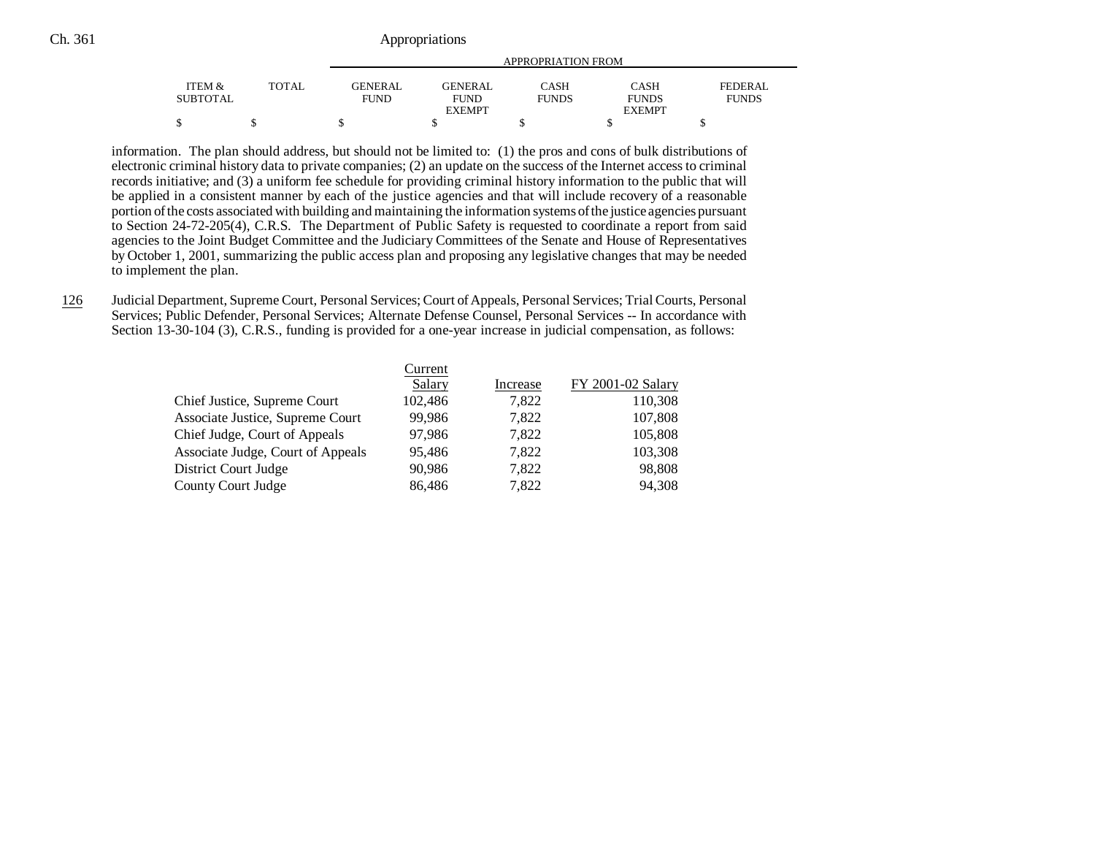| ITEM &          | <b>TOTAL</b> | GENERAL     | <b>GENERAL</b> | CASH         | <b>CASH</b>   | FEDERAL      |
|-----------------|--------------|-------------|----------------|--------------|---------------|--------------|
| <b>SUBTOTAL</b> |              | <b>FUND</b> | <b>FUND</b>    | <b>FUNDS</b> | <b>FUNDS</b>  | <b>FUNDS</b> |
|                 |              |             | <b>EXEMPT</b>  |              | <b>EXEMPT</b> |              |
| Φ<br>Φ          |              |             |                |              |               |              |

information. The plan should address, but should not be limited to: (1) the pros and cons of bulk distributions of electronic criminal history data to private companies; (2) an update on the success of the Internet access to criminal records initiative; and (3) a uniform fee schedule for providing criminal history information to the public that will be applied in a consistent manner by each of the justice agencies and that will include recovery of a reasonable portion of the costs associated with building and maintaining the information systems of the justice agencies pursuant to Section 24-72-205(4), C.R.S. The Department of Public Safety is requested to coordinate a report from said agencies to the Joint Budget Committee and the Judiciary Committees of the Senate and House of Representatives by October 1, 2001, summarizing the public access plan and proposing any legislative changes that may be needed to implement the plan.

126 Judicial Department, Supreme Court, Personal Services; Court of Appeals, Personal Services; Trial Courts, Personal Services; Public Defender, Personal Services; Alternate Defense Counsel, Personal Services -- In accordance with Section 13-30-104 (3), C.R.S., funding is provided for a one-year increase in judicial compensation, as follows:

| FY 2001-02 Salary |
|-------------------|
| 110,308           |
| 107,808           |
| 105,808           |
| 103,308           |
| 98,808            |
| 94,308            |
|                   |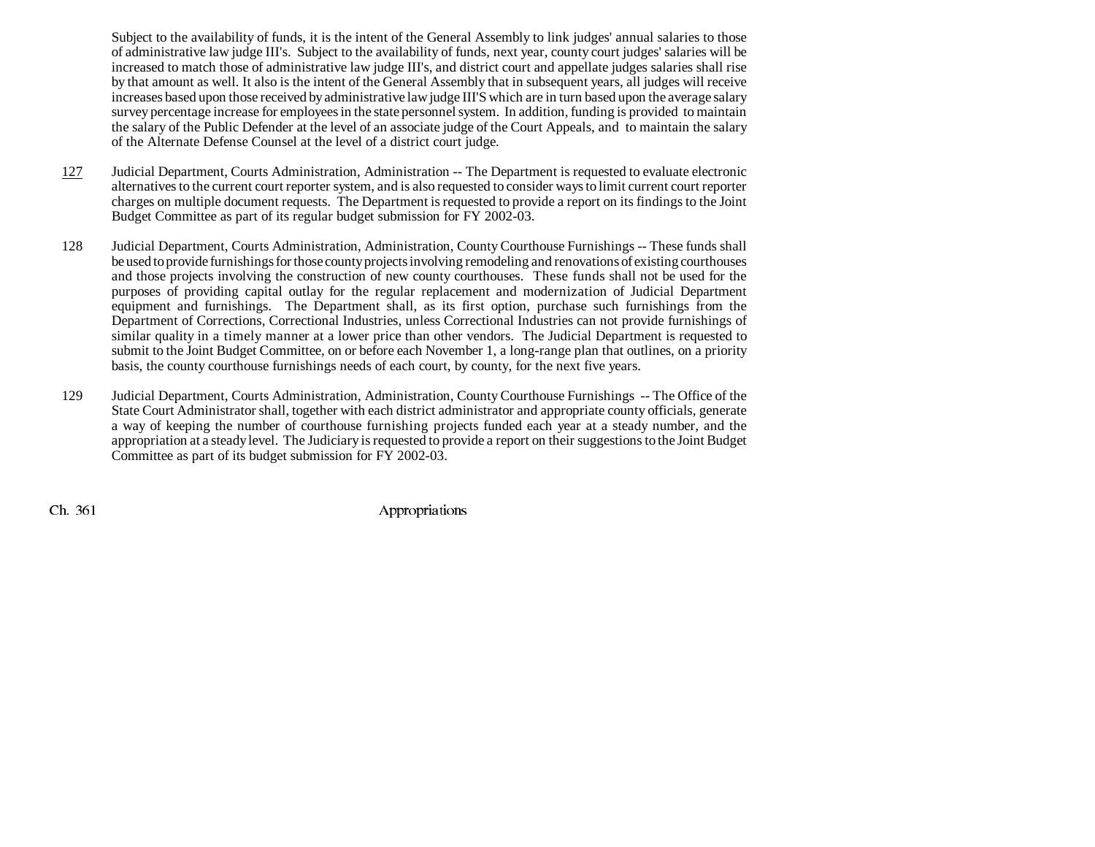Subject to the availability of funds, it is the intent of the General Assembly to link judges' annual salaries to those of administrative law judge III's. Subject to the availability of funds, next year, county court judges' salaries will be increased to match those of administrative law judge III's, and district court and appellate judges salaries shall rise by that amount as well. It also is the intent of the General Assembly that in subsequent years, all judges will receive increases based upon those received by administrative law judge III'S which are in turn based upon the average salary survey percentage increase for employees in the state personnel system. In addition, funding is provided to maintain the salary of the Public Defender at the level of an associate judge of the Court Appeals, and to maintain the salary of the Alternate Defense Counsel at the level of a district court judge.

- 127 Judicial Department, Courts Administration, Administration -- The Department is requested to evaluate electronic alternatives to the current court reporter system, and is also requested to consider ways to limit current court reporter charges on multiple document requests. The Department is requested to provide a report on its findings to the Joint Budget Committee as part of its regular budget submission for FY 2002-03.
- 128 Judicial Department, Courts Administration, Administration, County Courthouse Furnishings -- These funds shall be used to provide furnishings for those county projects involving remodeling and renovations of existing courthouses and those projects involving the construction of new county courthouses. These funds shall not be used for the purposes of providing capital outlay for the regular replacement and modernization of Judicial Department equipment and furnishings. The Department shall, as its first option, purchase such furnishings from the Department of Corrections, Correctional Industries, unless Correctional Industries can not provide furnishings of similar quality in a timely manner at a lower price than other vendors. The Judicial Department is requested to submit to the Joint Budget Committee, on or before each November 1, a long-range plan that outlines, on a priority basis, the county courthouse furnishings needs of each court, by county, for the next five years.
- 129 Judicial Department, Courts Administration, Administration, County Courthouse Furnishings -- The Office of the State Court Administrator shall, together with each district administrator and appropriate county officials, generate a way of keeping the number of courthouse furnishing projects funded each year at a steady number, and the appropriation at a steady level. The Judiciary is requested to provide a report on their suggestions to the Joint Budget Committee as part of its budget submission for FY 2002-03.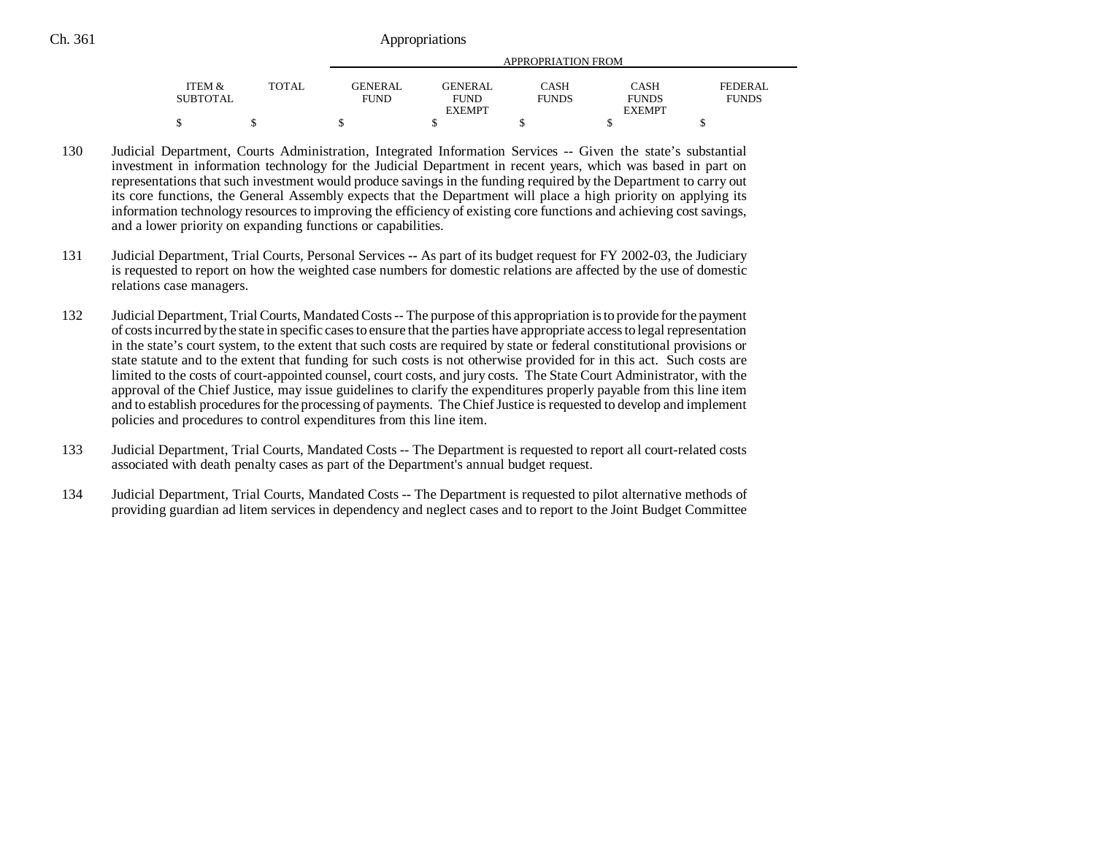|                   |              | APPROPRIATION FROM |                |              |               |              |  |
|-------------------|--------------|--------------------|----------------|--------------|---------------|--------------|--|
| <b>ITEM &amp;</b> | <b>TOTAL</b> | <b>GENERAL</b>     | <b>GENERAL</b> | CASH         | <b>CASH</b>   | FEDERAL      |  |
| SUBTOTAL          |              | <b>FUND</b>        | <b>FUND</b>    | <b>FUNDS</b> | <b>FUNDS</b>  | <b>FUNDS</b> |  |
|                   |              |                    | <b>EXEMPT</b>  |              | <b>EXEMPT</b> |              |  |
|                   |              |                    |                |              |               |              |  |

- 130 Judicial Department, Courts Administration, Integrated Information Services -- Given the state's substantial investment in information technology for the Judicial Department in recent years, which was based in part on representations that such investment would produce savings in the funding required by the Department to carry out its core functions, the General Assembly expects that the Department will place a high priority on applying its information technology resources to improving the efficiency of existing core functions and achieving cost savings, and a lower priority on expanding functions or capabilities.
- 131 Judicial Department, Trial Courts, Personal Services **--** As part of its budget request for FY 2002-03, the Judiciary is requested to report on how the weighted case numbers for domestic relations are affected by the use of domestic relations case managers.
- 132 Judicial Department, Trial Courts, Mandated Costs -- The purpose of this appropriation is to provide for the payment of costs incurred by the state in specific cases to ensure that the parties have appropriate access to legal representation in the state's court system, to the extent that such costs are required by state or federal constitutional provisions or state statute and to the extent that funding for such costs is not otherwise provided for in this act. Such costs are limited to the costs of court-appointed counsel, court costs, and jury costs. The State Court Administrator, with the approval of the Chief Justice, may issue guidelines to clarify the expenditures properly payable from this line item and to establish procedures for the processing of payments. The Chief Justice is requested to develop and implement policies and procedures to control expenditures from this line item.
- 133 Judicial Department, Trial Courts, Mandated Costs -- The Department is requested to report all court-related costs associated with death penalty cases as part of the Department's annual budget request.
- 134 Judicial Department, Trial Courts, Mandated Costs -- The Department is requested to pilot alternative methods of providing guardian ad litem services in dependency and neglect cases and to report to the Joint Budget Committee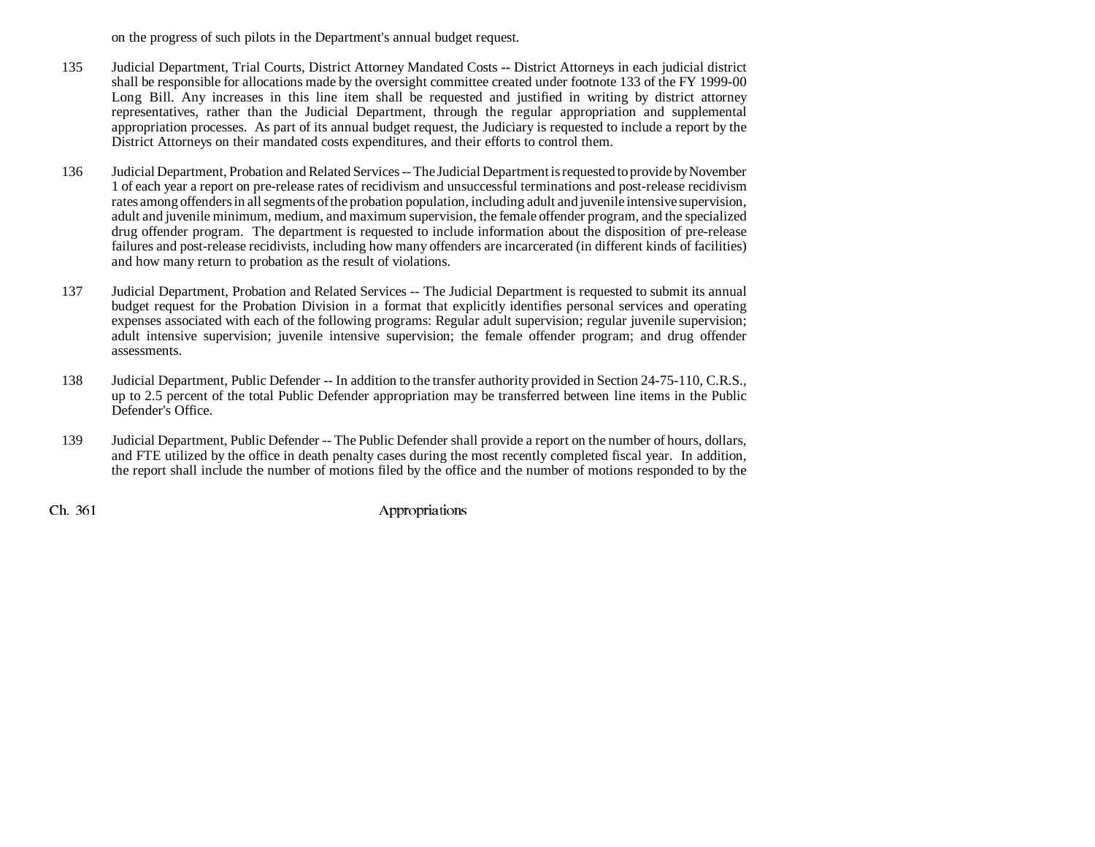on the progress of such pilots in the Department's annual budget request.

- 135 Judicial Department, Trial Courts, District Attorney Mandated Costs **--** District Attorneys in each judicial district shall be responsible for allocations made by the oversight committee created under footnote 133 of the FY 1999-00 Long Bill. Any increases in this line item shall be requested and justified in writing by district attorney representatives, rather than the Judicial Department, through the regular appropriation and supplemental appropriation processes. As part of its annual budget request, the Judiciary is requested to include a report by the District Attorneys on their mandated costs expenditures, and their efforts to control them.
- 136 Judicial Department, Probation and Related Services -- The Judicial Department is requested to provide by November 1 of each year a report on pre-release rates of recidivism and unsuccessful terminations and post-release recidivism rates among offenders in all segments of the probation population, including adult and juvenile intensive supervision, adult and juvenile minimum, medium, and maximum supervision, the female offender program, and the specialized drug offender program. The department is requested to include information about the disposition of pre-release failures and post-release recidivists, including how many offenders are incarcerated (in different kinds of facilities) and how many return to probation as the result of violations.
- 137 Judicial Department, Probation and Related Services -- The Judicial Department is requested to submit its annual budget request for the Probation Division in a format that explicitly identifies personal services and operating expenses associated with each of the following programs: Regular adult supervision; regular juvenile supervision; adult intensive supervision; juvenile intensive supervision; the female offender program; and drug offender assessments.
- 138 Judicial Department, Public Defender -- In addition to the transfer authority provided in Section 24-75-110, C.R.S., up to 2.5 percent of the total Public Defender appropriation may be transferred between line items in the Public Defender's Office.
- 139 Judicial Department, Public Defender -- The Public Defender shall provide a report on the number of hours, dollars, and FTE utilized by the office in death penalty cases during the most recently completed fiscal year. In addition, the report shall include the number of motions filed by the office and the number of motions responded to by the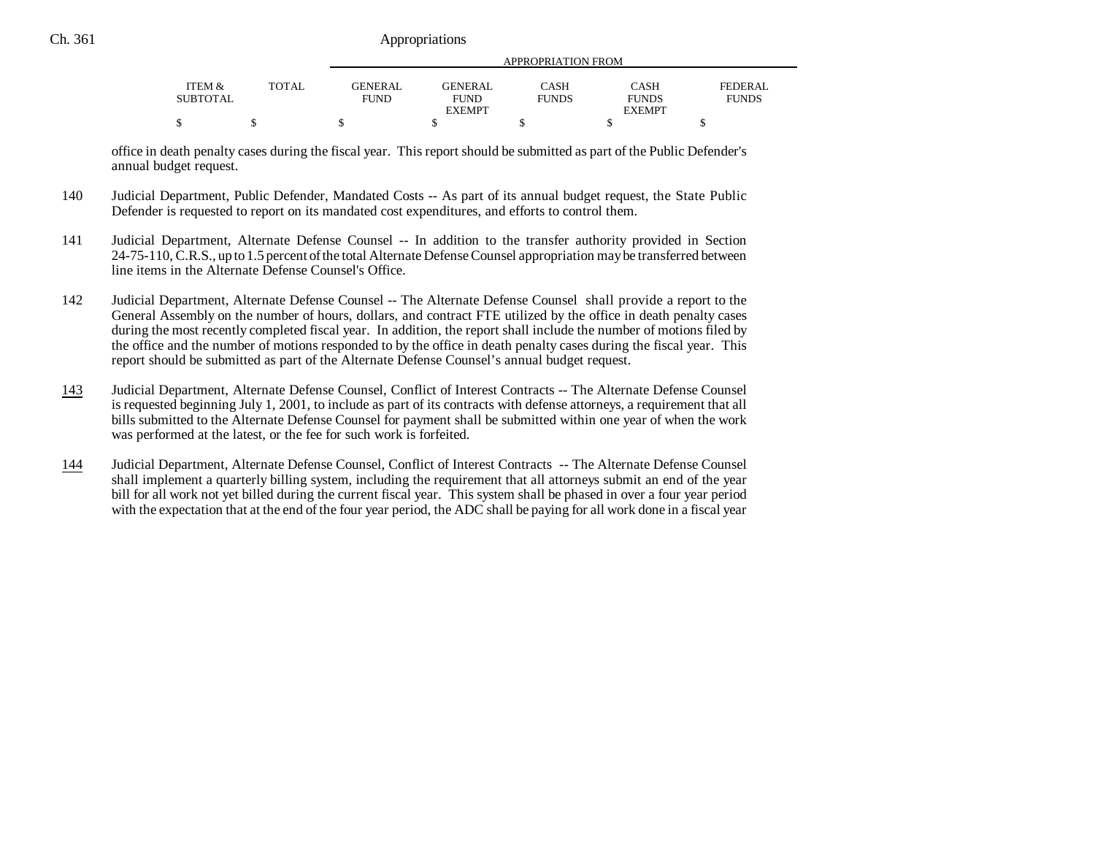| <b>ITEM <math>\&amp;</math></b><br>SUBTOTAL | TOTAL | APPROPRIATION FROM            |                               |                             |                      |                         |  |
|---------------------------------------------|-------|-------------------------------|-------------------------------|-----------------------------|----------------------|-------------------------|--|
|                                             |       | <b>GENERAL</b><br><b>FUND</b> | <b>GENERAL</b><br><b>FUND</b> | <b>CASH</b><br><b>FUNDS</b> | CASH<br><b>FUNDS</b> | FEDERAL<br><b>FUNDS</b> |  |
|                                             |       |                               | <b>EXEMPT</b>                 |                             | <b>EXEMPT</b>        |                         |  |
|                                             |       |                               |                               |                             |                      |                         |  |

office in death penalty cases during the fiscal year. This report should be submitted as part of the Public Defender's annual budget request.

- 140 Judicial Department, Public Defender, Mandated Costs -- As part of its annual budget request, the State Public Defender is requested to report on its mandated cost expenditures, and efforts to control them.
- 141 Judicial Department, Alternate Defense Counsel -- In addition to the transfer authority provided in Section 24-75-110, C.R.S., up to 1.5 percent of the total Alternate Defense Counsel appropriation may be transferred between line items in the Alternate Defense Counsel's Office.
- 142 Judicial Department, Alternate Defense Counsel -- The Alternate Defense Counsel shall provide a report to the General Assembly on the number of hours, dollars, and contract FTE utilized by the office in death penalty cases during the most recently completed fiscal year. In addition, the report shall include the number of motions filed by the office and the number of motions responded to by the office in death penalty cases during the fiscal year. This report should be submitted as part of the Alternate Defense Counsel's annual budget request.
- 143 Judicial Department, Alternate Defense Counsel, Conflict of Interest Contracts -- The Alternate Defense Counsel is requested beginning July 1, 2001, to include as part of its contracts with defense attorneys, a requirement that all bills submitted to the Alternate Defense Counsel for payment shall be submitted within one year of when the work was performed at the latest, or the fee for such work is forfeited.
- 144 Judicial Department, Alternate Defense Counsel, Conflict of Interest Contracts -- The Alternate Defense Counsel shall implement a quarterly billing system, including the requirement that all attorneys submit an end of the year bill for all work not yet billed during the current fiscal year. This system shall be phased in over a four year period with the expectation that at the end of the four year period, the ADC shall be paying for all work done in a fiscal year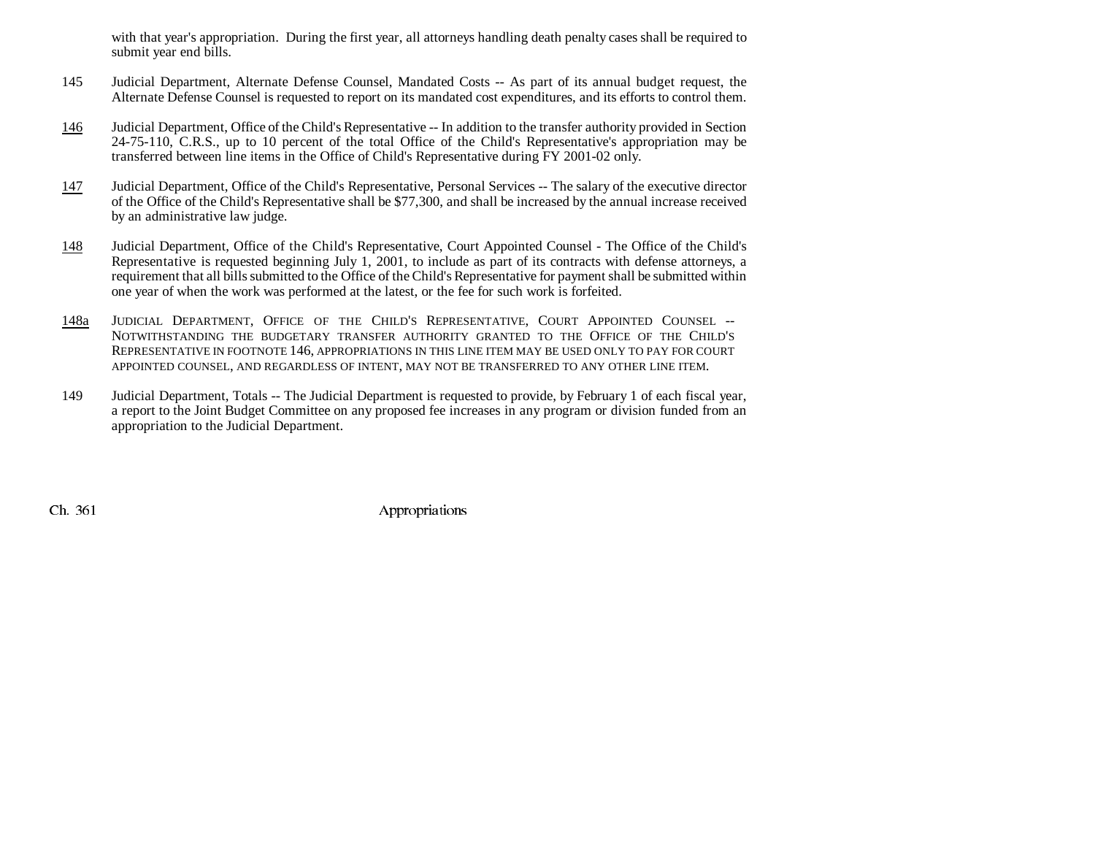with that year's appropriation. During the first year, all attorneys handling death penalty cases shall be required to submit year end bills.

- 145 Judicial Department, Alternate Defense Counsel, Mandated Costs -- As part of its annual budget request, the Alternate Defense Counsel is requested to report on its mandated cost expenditures, and its efforts to control them.
- 146 Judicial Department, Office of the Child's Representative -- In addition to the transfer authority provided in Section 24-75-110, C.R.S., up to 10 percent of the total Office of the Child's Representative's appropriation may be transferred between line items in the Office of Child's Representative during FY 2001-02 only.
- 147 Judicial Department, Office of the Child's Representative, Personal Services -- The salary of the executive director of the Office of the Child's Representative shall be \$77,300, and shall be increased by the annual increase received by an administrative law judge.
- 148 Judicial Department, Office of the Child's Representative, Court Appointed Counsel - The Office of the Child's Representative is requested beginning July 1, 2001, to include as part of its contracts with defense attorneys, a requirement that all bills submitted to the Office of the Child's Representative for payment shall be submitted within one year of when the work was performed at the latest, or the fee for such work is forfeited.
- 148aa Judicial Department, Office of the Child's Representative, Court Appointed Counsel --NOTWITHSTANDING THE BUDGETARY TRANSFER AUTHORITY GRANTED TO THE OFFICE OF THE CHILD'SREPRESENTATIVE IN FOOTNOTE 146, APPROPRIATIONS IN THIS LINE ITEM MAY BE USED ONLY TO PAY FOR COURT APPOINTED COUNSEL, AND REGARDLESS OF INTENT, MAY NOT BE TRANSFERRED TO ANY OTHER LINE ITEM.
- 149 Judicial Department, Totals -- The Judicial Department is requested to provide, by February 1 of each fiscal year, a report to the Joint Budget Committee on any proposed fee increases in any program or division funded from an appropriation to the Judicial Department.